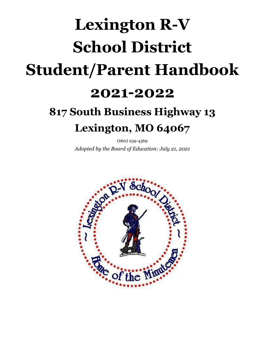# **Lexington R-V School District Student/Parent Handbook 2021-2022**

# **817 South Business Highway 13 Lexington, MO 64067**

(660) 259-4369 *Adopted by the Board of Education: July 21, 2021*

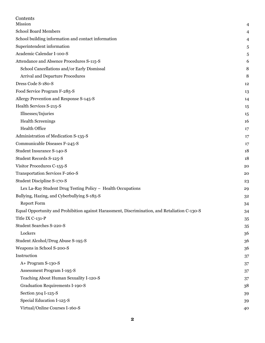| Contents                                                                                      |    |
|-----------------------------------------------------------------------------------------------|----|
| Mission                                                                                       | 4  |
| <b>School Board Members</b>                                                                   | 4  |
| School building information and contact information                                           | 4  |
| Superintendent information                                                                    | 5  |
| Academic Calendar I-100-S                                                                     | 5  |
| Attendance and Absence Procedures S-115-S                                                     | 6  |
| School Cancellations and/or Early Dismissal                                                   | 8  |
| <b>Arrival and Departure Procedures</b>                                                       | 8  |
| Dress Code S-180-S                                                                            | 12 |
| Food Service Program F-285-S                                                                  | 13 |
| Allergy Prevention and Response S-145-S                                                       | 14 |
| Health Services S-215-S                                                                       | 15 |
| Illnesses/Injuries                                                                            | 15 |
| <b>Health Screenings</b>                                                                      | 16 |
| <b>Health Office</b>                                                                          | 17 |
| Administration of Medication S-135-S                                                          | 17 |
| Communicable Diseases F-245-S                                                                 | 17 |
| Student Insurance S-140-S                                                                     | 18 |
| Student Records S-125-S                                                                       | 18 |
| Visitor Procedures C-155-S                                                                    | 20 |
| Transportation Services F-260-S                                                               | 20 |
| Student Discipline S-170-S                                                                    | 23 |
| Lex La-Ray Student Drug Testing Policy - Health Occupations                                   | 29 |
| Bullying, Hazing, and Cyberbullying S-185-S                                                   | 32 |
| <b>Report Form</b>                                                                            | 34 |
| Equal Opportunity and Prohibition against Harassment, Discrimination, and Retaliation C-130-S | 34 |
| Title IX C-131-P                                                                              | 35 |
| Student Searches S-220-S                                                                      | 35 |
| Lockers                                                                                       | 36 |
| Student Alcohol/Drug Abuse S-195-S                                                            | 36 |
| Weapons in School S-200-S                                                                     | 36 |
| Instruction                                                                                   | 37 |
| A+ Program S-130-S                                                                            | 37 |
| Assessment Program I-195-S                                                                    | 37 |
| Teaching About Human Sexuality I-120-S                                                        | 37 |
| <b>Graduation Requirements I-190-S</b>                                                        | 38 |
| Section 504 I-125-S                                                                           | 39 |
| Special Education I-125-S                                                                     | 39 |
| Virtual/Online Courses I-160-S                                                                | 40 |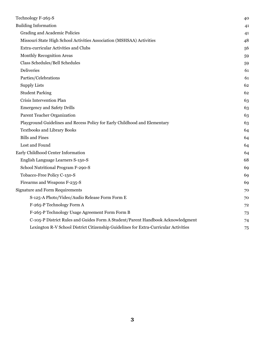| Technology F-265-S                                                                   | 40 |
|--------------------------------------------------------------------------------------|----|
| <b>Building Information</b>                                                          | 41 |
| Grading and Academic Policies                                                        | 41 |
| Missouri State High School Activities Association (MSHSAA) Activities                | 48 |
| <b>Extra-curricular Activities and Clubs</b>                                         | 56 |
| <b>Monthly Recognition Areas</b>                                                     | 59 |
| Class Schedules/Bell Schedules                                                       | 59 |
| <b>Deliveries</b>                                                                    | 61 |
| Parties/Celebrations                                                                 | 61 |
| <b>Supply Lists</b>                                                                  | 62 |
| <b>Student Parking</b>                                                               | 62 |
| Crisis Intervention Plan                                                             | 63 |
| <b>Emergency and Safety Drills</b>                                                   | 63 |
| Parent Teacher Organization                                                          | 63 |
| Playground Guidelines and Recess Policy for Early Childhood and Elementary           | 63 |
| Textbooks and Library Books                                                          | 64 |
| <b>Bills and Fines</b>                                                               | 64 |
| Lost and Found                                                                       | 64 |
| Early Childhood Center Information                                                   | 64 |
| English Language Learners S-150-S                                                    | 68 |
| School Nutritional Program F-290-S                                                   | 69 |
| Tobacco-Free Policy C-150-S                                                          | 69 |
| Firearms and Weapons F-235-S                                                         | 69 |
| <b>Signature and Form Requirements</b>                                               | 70 |
| S-125-A Photo/Video/Audio Release Form Form E                                        | 70 |
| F-265-P Technology Form A                                                            | 72 |
| F-265-P Technology Usage Agreement Form Form B                                       | 73 |
| C-105-P District Rules and Guides Form A Student/Parent Handbook Acknowledgment      | 74 |
| Lexington R-V School District Citizenship Guidelines for Extra-Curricular Activities | 75 |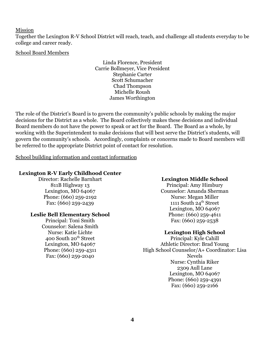<span id="page-3-0"></span>Mission

Together the Lexington R-V School District will reach, teach, and challenge all students everyday to be college and career ready.

#### <span id="page-3-1"></span>School Board Members

Linda Florence, President Carrie Bollmeyer, Vice President Stephanie Carter Scott Schumacher Chad Thompson Michelle Roush James Worthington

The role of the District's Board is to govern the community's public schools by making the major decisions for the District as a whole. The Board collectively makes these decisions and individual Board members do not have the power to speak or act for the Board. The Board as a whole, by working with the Superintendent to make decisions that will best serve the District's students, will govern the community's schools. Accordingly, complaints or concerns made to Board members will be referred to the appropriate District point of contact for resolution.

<span id="page-3-2"></span>School building information and contact information

# **Lexington R-V Early Childhood Center**

Director: Rachelle Barnhart 811B Highway 13 Lexington, MO 64067 Phone: (660) 259-2192 Fax: (660) 259-2439

#### **Leslie Bell Elementary School**

Principal: Toni Smith Counselor: Salena Smith Nurse: Katie Lichte 400 South 20<sup>th</sup> Street Lexington, MO 64067 Phone: (660) 259-4311 Fax: (660) 259-2040

#### **Lexington Middle School**

Principal: Amy Himbury Counselor: Amanda Sherman Nurse: Megan Miller 1111 South 24<sup>th</sup> Street Lexington, MO 64067 Phone: (660) 259-4611 Fax: (660) 259-2538

#### **Lexington High School**

Principal: Kyle Cahill Athletic Director: Brad Young High School Counselor/A+ Coordinator: Lisa Nevels Nurse: Cynthia Riker 2309 Aull Lane Lexington, MO 64067 Phone: (660) 259-4391 Fax: (660) 259-2166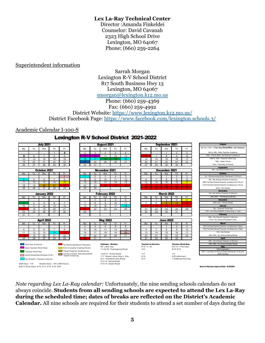#### **Lex La-Ray Technical Center**

Director :Amanda Finkeldei Counselor: David Cavanah 2323 High School Drive Lexington, MO 64067 Phone: (660) 259-2264

#### <span id="page-4-0"></span>Superintendent information

#### Sarrah Morgan Lexington R-V School District 817 South Business Hwy 13 Lexington, MO 64067 [smorgan@lexington.k12.mo.us](mailto:smorgan@lexington.k12.mo.us) Phone: (660) 259-4369 Fax: (660) 259-4992 District Website: <https://www.lexington.k12.mo.us/> District Facebook Page: <https://www.facebook.com/lexington.schools.3/>

#### <span id="page-4-1"></span>Academic Calendar I-100-S

#### Lexington R-V School District 2021-2022



*Note regarding Lex La-Ray calendar:* Unfortunately, the nine sending schools calendars do not always coincide. **Students from all sending schools are expected to attend the Lex La-Ray during the scheduled time; dates of breaks are reflected on the District's Academic Calendar.** All nine schools are required for their students to attend a set number of days during the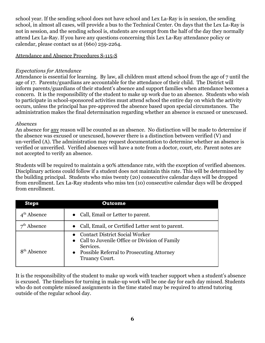school year. If the sending school does not have school and Lex La-Ray is in session, the sending school, in almost all cases, will provide a bus to the Technical Center. On days that the Lex La-Ray is not in session, and the sending school is, students are exempt from the half of the day they normally attend Lex La-Ray. If you have any questions concerning this Lex La-Ray attendance policy or calendar, please contact us at (660) 259-2264.

#### <span id="page-5-0"></span>Attendance and Absence Procedures S-115-S

# *Expectations for Attendance*

Attendance is essential for learning. By law, all children must attend school from the age of 7 until the age of 17. Parents/guardians are accountable for the attendance of their child. The District will inform parents/guardians of their student's absence and support families when attendance becomes a concern. It is the responsibility of the student to make up work due to an absence. Students who wish to participate in school-sponsored activities must attend school the entire day on which the activity occurs, unless the principal has pre-approved the absence based upon special circumstances. The administration makes the final determination regarding whether an absence is excused or unexcused.

#### *Absences*

An absence for any reason will be counted as an absence. No distinction will be made to determine if the absence was excused or unexcused, however there is a distinction between verified (V) and un-verified (A). The administration may request documentation to determine whether an absence is verified or unverified. Verified absences will have a note from a doctor, court, etc. Parent notes are not accepted to verify an absence.

Students will be required to maintain a 90% attendance rate, with the exception of verified absences. Disciplinary actions could follow if a student does not maintain this rate. This will be determined by the building principal. Students who miss twenty (20) consecutive calendar days will be dropped from enrollment. Lex La-Ray students who miss ten (10) consecutive calendar days will be dropped from enrollment.

| <b>Steps</b>            | <b>Outcome</b>                                                                                                                                                                |
|-------------------------|-------------------------------------------------------------------------------------------------------------------------------------------------------------------------------|
| $4th$ Absence           | • Call, Email or Letter to parent.                                                                                                                                            |
| Absence                 | • Call, Email, or Certified Letter sent to parent.                                                                                                                            |
| 8 <sup>th</sup> Absence | <b>Contact District Social Worker</b><br>• Call to Juvenile Office or Division of Family<br>Services.<br>• Possible Referral to Prosecuting Attorney<br><b>Truancy Court.</b> |

It is the responsibility of the student to make up work with teacher support when a student's absence is excused. The timelines for turning in make-up work will be one day for each day missed. Students who do not complete missed assignments in the time stated may be required to attend tutoring outside of the regular school day.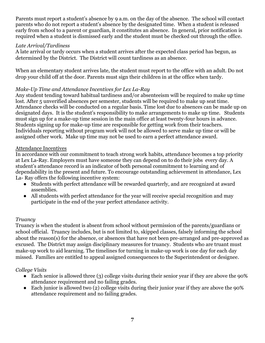Parents must report a student's absence by 9 a.m. on the day of the absence. The school will contact parents who do not report a student's absence by the designated time. When a student is released early from school to a parent or guardian, it constitutes an absence. In general, prior notification is required when a student is dismissed early and the student must be checked out through the office.

#### *Late Arrival/Tardiness*

A late arrival or tardy occurs when a student arrives after the expected class period has begun, as determined by the District. The District will count tardiness as an absence.

When an elementary student arrives late, the student must report to the office with an adult. Do not drop your child off at the door. Parents must sign their children in at the office when tardy.

#### *Make-Up Time and Attendance Incentives for Lex La-Ray*

Any student tending toward habitual tardiness and/or absenteeism will be required to make up time lost. After 5 unverified absences per semester, students will be required to make up seat time. Attendance checks will be conducted on a regular basis. Time lost due to absences can be made up on designated days. It is the student's responsibility to make arrangements to make up time. Students must sign up for a make-up time session in the main office at least twenty-four hours in advance. Students signing up for make-up time are responsible for getting work from their teachers. Individuals reporting without program work will not be allowed to serve make up time or will be assigned other work. Make up time may not be used to earn a perfect attendance award.

#### Attendance Incentives

In accordance with our commitment to teach strong work habits, attendance becomes a top priority at Lex La-Ray. Employers must have someone they can depend on to do their jobs every day. A student's attendance record is an indicator of both personal commitment to learning and of dependability in the present and future. To encourage outstanding achievement in attendance, Lex La- Ray offers the following incentive system:

- Students with perfect attendance will be rewarded quarterly, and are recognized at award assemblies.
- All students with perfect attendance for the year will receive special recognition and may participate in the end of the year perfect attendance activity.

#### *Truancy*

Truancy is when the student is absent from school without permission of the parents/guardians or school official. Truancy includes, but is not limited to, skipped classes, falsely informing the school about the reason(s) for the absence, or absences that have not been pre-arranged and pre-approved as excused. The District may assign disciplinary measures for truancy. Students who are truant must make-up work to aid learning. The timelines for turning in make-up work is one day for each day missed. Families are entitled to appeal assigned consequences to the Superintendent or designee.

# *College Visits*

- Each senior is allowed three (3) college visits during their senior year if they are above the 90% attendance requirement and no failing grades.
- Each junior is allowed two (2) college visits during their junior year if they are above the 90% attendance requirement and no failing grades.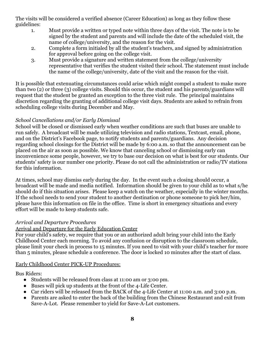The visits will be considered a verified absence (Career Education) as long as they follow these guidelines:

- 1. Must provide a written or typed note within three days of the visit. The note is to be signed by the student and parents and will include the date of the scheduled visit, the name of college/university, and the reason for the visit.
- 2. Complete a form initialed by all the student's teachers, and signed by administration for approval before going on the college visit.
- 3. Must provide a signature and written statement from the college/university representative that verifies the student visited their school. The statement must include the name of the college/university, date of the visit and the reason for the visit.

It is possible that extenuating circumstances could arise which might compel a student to make more than two (2) or three (3) college visits. Should this occur, the student and his parents/guardians will request that the student be granted an exception to the three visit rule. The principal maintains discretion regarding the granting of additional college visit days. Students are asked to refrain from scheduling college visits during December and May.

# <span id="page-7-0"></span>*School Cancellations and/or Early Dismissal*

School will be closed or dismissed early when weather conditions are such that buses are unable to run safely. A broadcast will be made utilizing television and radio stations, Textcast, email, phone, and on the District's Facebook page, to notify students and parents/guardians. Any decision regarding school closings for the District will be made by 6:00 a.m. so that the announcement can be placed on the air as soon as possible. We know that canceling school or dismissing early can inconvenience some people, however, we try to base our decision on what is best for our students. Our students' safety is our number one priority. Please do not call the administration or radio/TV stations for this information.

At times, school may dismiss early during the day. In the event such a closing should occur, a broadcast will be made and media notified. Information should be given to your child as to what s/he should do if this situation arises. Please keep a watch on the weather, especially in the winter months. If the school needs to send your student to another destination or phone someone to pick her/him, please have this information on file in the office. Time is short in emergency situations and every effort will be made to keep students safe.

# <span id="page-7-1"></span>*Arrival and Departure Procedures*

# Arrival and Departure for the Early Education Center

For your child's safety, we require that you or an authorized adult bring your child into the Early Childhood Center each morning. To avoid any confusion or disruption to the classroom schedule, please limit your check in process to 15 minutes. If you need to visit with your child's teacher for more than 5 minutes, please schedule a conference. The door is locked 10 minutes after the start of class.

# Early Childhood Center PICK-UP Procedures:

Bus Riders:

- Students will be released from class at 11:00 am or 3:00 pm.
- Buses will pick up students at the front of the 4-Life Center.
- Car riders will be released from the BACK of the 4-Life Center at 11:00 a.m. and 3:00 p.m.
- Parents are asked to enter the back of the building from the Chinese Restaurant and exit from Save-A-Lot. Please remember to yield for Save-A-Lot customers.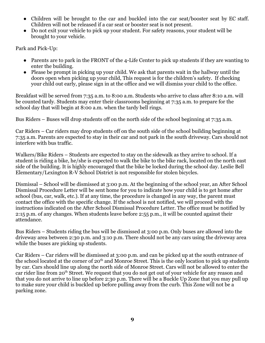- Children will be brought to the car and buckled into the car seat/booster seat by EC staff. Children will not be released if a car seat or booster seat is not present.
- Do not exit your vehicle to pick up your student. For safety reasons, your student will be brought to your vehicle.

Park and Pick-Up:

- Parents are to park in the FRONT of the 4-Life Center to pick up students if they are wanting to enter the building.
- Please be prompt in picking up your child. We ask that parents wait in the hallway until the doors open when picking up your child, This request is for the children's safety. If checking your child out early, please sign in at the office and we will dismiss your child to the office.

Breakfast will be served from 7:35 a.m. to 8:00 a.m. Students who arrive to class after 8:10 a.m. will be counted tardy. Students may enter their classrooms beginning at 7:35 a.m. to prepare for the school day that will begin at 8:00 a.m. when the tardy bell rings.

Bus Riders – Buses will drop students off on the north side of the school beginning at 7:35 a.m.

Car Riders – Car riders may drop students off on the south side of the school building beginning at 7:35 a.m. Parents are expected to stay in their car and not park in the south driveway. Cars should not interfere with bus traffic.

Walkers/Bike Riders – Students are expected to stay on the sidewalk as they arrive to school. If a student is riding a bike, he/she is expected to walk the bike to the bike rack, located on the north east side of the building. It is highly encouraged that the bike be locked during the school day. Leslie Bell Elementary/Lexington R-V School District is not responsible for stolen bicycles.

Dismissal – School will be dismissed at 3:00 p.m. At the beginning of the school year, an After School Dismissal Procedure Letter will be sent home for you to indicate how your child is to get home after school (bus, car, walk, etc.). If at any time, the procedure is changed in any way, the parent must contact the office with the specific change. If the school is not notified, we will proceed with the instructions indicated on the After School Dismissal Procedure Letter. The office must be notified by 2:15 p.m. of any changes. When students leave before 2:55 p.m., it will be counted against their attendance.

Bus Riders – Students riding the bus will be dismissed at 3:00 p.m. Only buses are allowed into the driveway area between 2:30 p.m. and 3:10 p.m. There should not be any cars using the driveway area while the buses are picking up students.

Car Riders – Car riders will be dismissed at 3:00 p.m. and can be picked up at the south entrance of the school located at the corner of  $20<sup>th</sup>$  and Monroe Street. This is the only location to pick up students by car. Cars should line up along the north side of Monroe Street. Cars will not be allowed to enter the car rider line from 20<sup>th</sup> Street. We request that you do not get out of your vehicle for any reason and that you do not arrive to line up before 2:30 p.m. There will be a Buckle Up Zone that you may pull up to make sure your child is buckled up before pulling away from the curb. This Zone will not be a parking zone.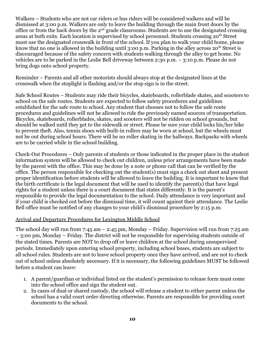Walkers – Students who are not car riders or bus riders will be considered walkers and will be dismissed at 3:00 p.m. Walkers are only to leave the building through the main front doors by the office or from the back doors by the  $2<sup>nd</sup>$  grade classrooms. Students are to use the designated crossing areas at both exits. Each location is supervised by school personnel. Students crossing 20<sup>th</sup> Street must use the designated crosswalk in front of the school. If you plan to walk your child home, please know that no one is allowed in the building until 3:00 p.m. Parking in the alley across  $20^{th}$  Street is discouraged because of the safety concern with students walking through the alley to get home. No vehicles are to be parked in the Leslie Bell driveway between 2:30 p.m. – 3:10 p.m. Please do not bring dogs onto school property.

Reminder – Parents and all other motorists should always stop at the designated lines at the crosswalk when the stoplight is flashing and/or the stop sign is in the street.

Safe School Routes – Students may ride their bicycles, skateboards, rollerblade skates, and scooters to school on the safe routes. Students are expected to follow safety procedures and guidelines established for the safe route to school. Any student that chooses not to follow the safe route procedures and guidelines will not be allowed to ride the previously named sources of transportation. Bicycles, skateboards, rollerblades, skates, and scooters will not be ridden on school grounds, but should be walked until they get to the sidewalk or street. Please be sure your child locks his/her bike to prevent theft. Also, tennis shoes with built-in rollers may be worn at school, but the wheels must not be out during school hours. There will be no roller skating in the hallways. Backpacks with wheels are to be carried while in the school building.

Check-Out Procedures – Only parents of students or those indicated in the proper place in the student information system will be allowed to check out children, unless prior arrangements have been made by the parent with the office. This may be done by a note or phone call that can be verified by the office. The person responsible for checking out the student(s) must sign a check out sheet and present proper identification before students will be allowed to leave the building. It is important to know that the birth certificate is the legal document that will be used to identify the parent(s) that have legal rights for a student unless there is a court document that states differently. It is the parent's responsible to provide the legal documentation to the school. Daily attendance is very important and if your child is checked out before the dismissal time, it will count against their attendance. The Leslie Bell office must be notified of any changes to your child's dismissal procedure by 2:15 p.m.

#### Arrival and Departure Procedures for Lexington Middle School

The school day will run from 7:45 am  $-$  2:45 pm, Monday – Friday. Supervision will run from 7:25 am – 3:00 pm, Monday – Friday. The district will not be responsible for supervising students outside of the stated times. Parents are NOT to drop off or leave children at the school during unsupervised periods. Immediately upon entering school property, including school buses, students are subject to all school rules. Students are not to leave school property once they have arrived, and are not to check out of school unless absolutely necessary. If it is necessary, the following guidelines MUST be followed before a student can leave:

- 1. A parent/guardian or individual listed on the student's permission to release form must come into the school office and sign the student out.
- 2. In cases of dual or shared custody, the school will release a student to either parent unless the school has a valid court order directing otherwise. Parents are responsible for providing court documents to the school.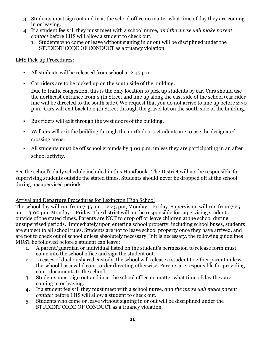- 3. Students must sign out and in at the school office no matter what time of day they are coming in or leaving.
- 4. If a student feels ill they must meet with a school nurse, *and the nurse will make parent contact* before LHS will allow a student to check out.
	- 1. Students who come or leave without signing in or out will be disciplined under the STUDENT CODE OF CONDUCT as a truancy violation.

#### LMS Pick-up Procedures:

- All students will be released from school at 2:45 p.m.
- Car riders are to be picked up on the south side of the building.

Due to traffic congestion, this is the only location to pick up students by car. Cars should use the northeast entrance from 24th Street and line up along the east side of the school (car rider line will be directed to the south side). We request that you do not arrive to line up before 2:30 p.m. Cars will exit back to 24th Street through the gravel lot on the south side of the building.

- Bus riders will exit through the west doors of the building.
- Walkers will exit the building through the north doors. Students are to use the designated crossing areas.
- All students must be off school grounds by 3:00 p.m. unless they are participating in an after school activity.

See the school's daily schedule included in this Handbook. The District will not be responsible for supervising students outside the stated times. Students should never be dropped off at the school during unsupervised periods.

# Arrival and Departure Procedures for Lexington High School

The school day will run from 7:45 am  $-$  2:45 pm, Monday – Friday. Supervision will run from 7:25 am – 3:00 pm, Monday – Friday. The district will not be responsible for supervising students outside of the stated times. Parents are NOT to drop off or leave children at the school during unsupervised periods. Immediately upon entering school property, including school buses, students are subject to all school rules. Students are not to leave school property once they have arrived, and are not to check out of school unless absolutely necessary. If it is necessary, the following guidelines MUST be followed before a student can leave:

- 1. A parent/guardian or individual listed on the student's permission to release form must come into the school office and sign the student out.
- 2. In cases of dual or shared custody, the school will release a student to either parent unless the school has a valid court order directing otherwise. Parents are responsible for providing court documents to the school.
- 3. Students must sign out and in at the school office no matter what time of day they are coming in or leaving.
- 4. If a student feels ill they must meet with a school nurse, *and the nurse will make parent contact* before LHS will allow a student to check out.
- 5. Students who come or leave without signing in or out will be disciplined under the STUDENT CODE OF CONDUCT as a truancy violation.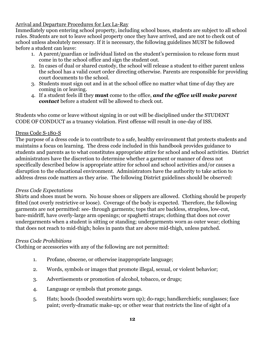Arrival and Departure Procedures for Lex La-Ray

Immediately upon entering school property, including school buses, students are subject to all school rules. Students are not to leave school property once they have arrived, and are not to check out of school unless absolutely necessary. If it is necessary, the following guidelines MUST be followed before a student can leave:

- 1. A parent/guardian or individual listed on the student's permission to release form must come in to the school office and sign the student out.
- 2. In cases of dual or shared custody, the school will release a student to either parent unless the school has a valid court order directing otherwise. Parents are responsible for providing court documents to the school.
- 3. Students must sign out and in at the school office no matter what time of day they are coming in or leaving.
- 4. If a student feels ill they **must** come to the office, *and the office will make parent contact* before a student will be allowed to check out.

Students who come or leave without signing in or out will be disciplined under the STUDENT CODE OF CONDUCT as a truancy violation. First offense will result in one-day of ISS.

#### <span id="page-11-0"></span>Dress Code S-180-S

The purpose of a dress code is to contribute to a safe, healthy environment that protects students and maintains a focus on learning. The dress code included in this handbook provides guidance to students and parents as to what constitutes appropriate attire for school and school activities. District administrators have the discretion to determine whether a garment or manner of dress not specifically described below is appropriate attire for school and school activities and/or causes a disruption to the educational environment. Administrators have the authority to take action to address dress code matters as they arise. The following District guidelines should be observed:

#### *Dress Code Expectations*

Shirts and shoes must be worn. No house shoes or slippers are allowed. Clothing should be properly fitted (not overly restrictive or loose). Coverage of the body is expected. Therefore, the following garments are not permitted: see- through garments; tops that are backless, strapless, low-cut, bare-midriff, have overly-large arm openings; or spaghetti straps; clothing that does not cover undergarments when a student is sitting or standing; undergarments worn as outer wear; clothing that does not reach to mid-thigh; holes in pants that are above mid-thigh, unless patched.

# *Dress Code Prohibitions*

Clothing or accessories with any of the following are not permitted:

- 1. Profane, obscene, or otherwise inappropriate language;
- 2. Words, symbols or images that promote illegal, sexual, or violent behavior;
- 3. Advertisements or promotion of alcohol, tobacco, or drugs;
- 4. Language or symbols that promote gangs.
- 5. Hats; hoods (hooded sweatshirts worn up); do-rags; handkerchiefs; sunglasses; face paint; overly-dramatic make-up; or other wear that restricts the line of sight of a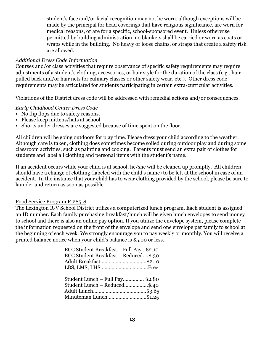student's face and/or facial recognition may not be worn, although exceptions will be made by the principal for head coverings that have religious significance, are worn for medical reasons, or are for a specific, school-sponsored event. Unless otherwise permitted by building administration, no blankets shall be carried or worn as coats or wraps while in the building. No heavy or loose chains, or straps that create a safety risk are allowed.

#### *Additional Dress Code Information*

Courses and/or class activities that require observance of specific safety requirements may require adjustments of a student's clothing, accessories, or hair style for the duration of the class (e.g., hair pulled back and/or hair nets for culinary classes or other safety wear, etc.). Other dress code requirements may be articulated for students participating in certain extra-curricular activities.

Violations of the District dress code will be addressed with remedial actions and/or consequences.

*Early Childhood Center Dress Code*

- No flip flops due to safety reasons.
- Please keep mittens/hats at school
- Shorts under dresses are suggested because of time spent on the floor.

All children will be going outdoors for play time. Please dress your child according to the weather. Although care is taken, clothing does sometimes become soiled during outdoor play and during some classroom activities, such as painting and cooking. Parents must send an extra pair of clothes for students and label all clothing and personal items with the student's name.

If an accident occurs while your child is at school, he/she will be cleaned up promptly. All children should have a change of clothing (labeled with the child's name) to be left at the school in case of an accident. In the instance that your child has to wear clothing provided by the school, please be sure to launder and return as soon as possible.

#### <span id="page-12-0"></span>Food Service Program F-285-S

The Lexington R-V School District utilizes a computerized lunch program. Each student is assigned an ID number. Each family purchasing breakfast/lunch will be given lunch envelopes to send money to school and there is also an online pay option. If you utilize the envelope system, please complete the information requested on the front of the envelope and send one envelope per family to school at the beginning of each week. We strongly encourage you to pay weekly or monthly. You will receive a printed balance notice when your child's balance is \$5.00 or less.

| ECC Student Breakfast - Full Pay\$2.10 |  |
|----------------------------------------|--|
| ECC Student Breakfast - Reduced\$.30   |  |
| Adult Breakfast\$2.10                  |  |
|                                        |  |
|                                        |  |
| Student Lunch - Full Pay \$2.80        |  |
| Student Lunch - Reduced\$.40           |  |
|                                        |  |
|                                        |  |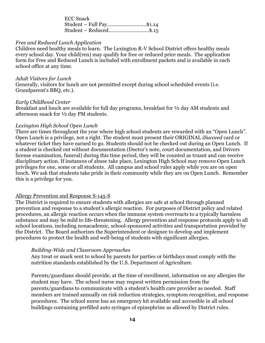| <b>ECC Snack</b>         |  |
|--------------------------|--|
| Student – Full Pay\$1.14 |  |
| Student – Reduced\$.15   |  |

#### *Free and Reduced Lunch Application*

Children need healthy meals to learn. The Lexington R-V School District offers healthy meals every school day. Your child(ren) may qualify for free or reduced price meals. The application form for Free and Reduced Lunch is included with enrollment packets and is available in each school office at any time.

#### *Adult Visitors for Lunch* Generally, visitors for lunch are not permitted except during school scheduled events (i.e. Grandparent's BBQ, etc.).

#### *Early Childhood Center*

Breakfast and lunch are available for full day programs, breakfast for ½ day AM students and afternoon snack for ½ day PM students.

#### *Lexington High School Open Lunch*

There are times throughout the year where high school students are rewarded with an "Open Lunch". Open Lunch is a privilege, not a right. The student must present their ORIGINAL *iSucceed* card or whatever ticket they have earned to go. Students should not be checked out during an Open Lunch. If a student is checked out without documentation (Doctor's note, court documentation, and Drivers license examination, funeral) during this time period, they will be counted as truant and can receive disciplinary action. If instances of abuse take place, Lexington High School may remove Open Lunch privileges for one, some or all students. All campus and school rules apply while you are on open lunch. We ask that students take pride in their community while they are on Open Lunch. Remember this is a privilege for you.

#### <span id="page-13-0"></span>Allergy Prevention and Response S-145-S

The District is required to ensure students with allergies are safe at school through planned prevention and response to a student's allergic reaction. For purposes of District policy and related procedures, an allergic reaction occurs when the immune system overreacts to a typically harmless substance and may be mild to life-threatening. Allergy prevention and response protocols apply to all school locations, including nonacademic, school-sponsored activities and transportation provided by the District. The Board authorizes the Superintendent or designee to develop and implement procedures to protect the health and well-being of students with significant allergies.

#### *Building-Wide and Classroom Approaches*

Any treat or snack sent to school by parents for parties or birthdays must comply with the nutrition standards established by the U.S. Department of Agriculture.

Parents/guardians should provide, at the time of enrollment, information on any allergies the student may have. The school nurse may request written permission from the parents/guardians to communicate with a student's health care provider as needed. Staff members are trained annually on risk reduction strategies, symptom recognition, and response procedures. The school nurse has an emergency kit available and accessible in all school buildings containing prefilled auto syringes of epinephrine as allowed by District rules.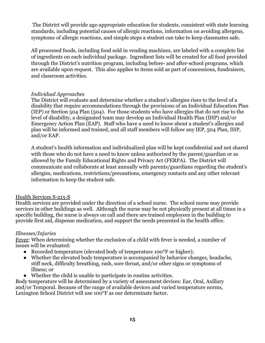The District will provide age-appropriate education for students, consistent with state learning standards, including potential causes of allergic reactions, information on avoiding allergens, symptoms of allergic reactions, and simple steps a student can take to keep classmates safe.

All processed foods, including food sold in vending machines, are labeled with a complete list of ingredients on each individual package. Ingredient lists will be created for all food provided through the District's nutrition program, including before- and after-school programs, which are available upon request. This also applies to items sold as part of concessions, fundraisers, and classroom activities.

#### *Individual Approaches*

The District will evaluate and determine whether a student's allergies rises to the level of a disability that require accommodations through the provisions of an Individual Education Plan (IEP) or Section 504 Plan (504). For those students who have allergies that do not rise to the level of disability, a designated team may develop an Individual Health Plan (IHP) and/or Emergency Action Plan (EAP). Staff who have a need to know about a student's allergies and plan will be informed and trained, and all staff members will follow any IEP, 504 Plan, IHP, and/or EAP.

A student's health information and individualized plan will be kept confidential and not shared with those who do not have a need to know unless authorized by the parent/guardian or as allowed by the Family Educational Rights and Privacy Act (FERPA). The District will communicate and collaborate at least annually with parents/guardians regarding the student's allergies, medications, restrictions/precautions, emergency contacts and any other relevant information to keep the student safe.

#### <span id="page-14-0"></span>Health Services S-215-S

Health services are provided under the direction of a school nurse. The school nurse may provide services in other buildings as well. Although the nurse may be not physically present at all times in a specific building, the nurse is always on call and there are trained employees in the building to provide first aid, dispense medication, and support the needs presented in the health office.

#### <span id="page-14-1"></span>*Illnesses/Injuries*

Fever: When determining whether the exclusion of a child with fever is needed, a number of issues will be evaluated:

- Recorded temperature (elevated body of temperature 100<sup>o</sup>F or higher);
- Whether the elevated body temperature is accompanied by behavior changes, headache, stiff neck, difficulty breathing, rash, sore throat, and/or other signs or symptoms of illness; or
- Whether the child is unable to participate in routine activities.

Body temperature will be determined by a variety of assessment devices: Ear, Oral, Axillary and/or Temporal. Because of the range of available devices and varied temperature norms, Lexington School District will use 100°F as our determinate factor.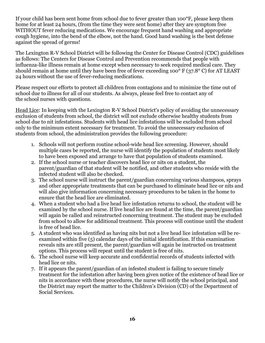If your child has been sent home from school due to fever greater than 100°F, please keep them home for at least 24 hours, (from the time they were sent home) after they are symptom free WITHOUT fever reducing medications. We encourage frequent hand washing and appropriate cough hygiene, into the bend of the elbow, not the hand. Good hand washing is the best defense against the spread of germs!

The Lexington R-V School District will be following the Center for Disease Control (CDC) guidelines as follows: The Centers for Disease Control and Prevention recommends that people with influenza-like illness remain at home except when necessary to seek required medical care. They should remain at home until they have been free of fever exceeding 100° F (37.8° C) for AT LEAST 24 hours without the use of fever-reducing medications.

Please respect our efforts to protect all children from contagions and to minimize the time out of school due to illness for all of our students. As always, please feel free to contact any of the school nurses with questions.

Head Lice: In keeping with the Lexington R-V School District's policy of avoiding the unnecessary exclusion of students from school, the district will not exclude otherwise healthy students from school due to nit infestations. Students with head lice infestations will be excluded from school only to the minimum extent necessary for treatment. To avoid the unnecessary exclusion of students from school, the administration provides the following procedure:

- 1. Schools will not perform routine school-wide head lice screening. However, should multiple cases be reported, the nurse will identify the population of students most likely to have been exposed and arrange to have that population of students examined.
- 2. If the school nurse or teacher discovers head lice or nits on a student, the parent/guardian of that student will be notified, and other students who reside with the infected student will also be checked.
- 3. The school nurse will instruct the parent/guardian concerning various shampoos, sprays and other appropriate treatments that can be purchased to eliminate head lice or nits and will also give information concerning necessary procedures to be taken in the home to ensure that the head lice are eliminated.
- 4. When a student who had a live head lice infestation returns to school, the student will be examined by the school nurse. If live head lice are found at the time, the parent/guardian will again be called and reinstructed concerning treatment. The student may be excluded from school to allow for additional treatment. This process will continue until the student is free of head lice.
- 5. A student who was identified as having nits but not a live head lice infestation will be reexamined within five (5) calendar days of the initial identification. If this examination reveals nits are still present, the parent/guardian will again be instructed on treatment options. This process will repeat until the student is free of nits.
- 6. The school nurse will keep accurate and confidential records of students infected with head lice or nits.
- 7. If it appears the parent/guardian of an infested student is failing to secure timely treatment for the infestation after having been given notice of the existence of head lice or nits in accordance with these procedures, the nurse will notify the school principal, and the District may report the matter to the Children's Division (CD) of the Department of Social Services.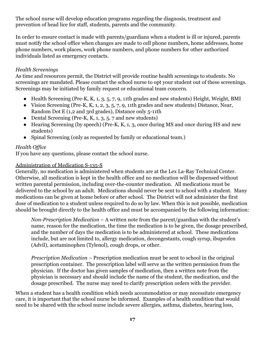The school nurse will develop education programs regarding the diagnosis, treatment and prevention of head lice for staff, students, parents and the community.

In order to ensure contact is made with parents/guardians when a student is ill or injured, parents must notify the school office when changes are made to cell phone numbers, home addresses, home phone numbers, work places, work phone numbers, and phone numbers for other authorized individuals listed as emergency contacts.

#### <span id="page-16-0"></span>*Health Screenings*

As time and resources permit, the District will provide routine health screenings to students. No screenings are mandated. Please contact the school nurse to opt your student out of these screenings. Screenings may be initiated by family request or educational team concern.

- Health Screening (Pre-K, K, 1, 3, 5, 7, 9, 11th grades and new students) Height, Weight, BMI
- Vision Screening (Pre-K, K, 1, 2, 3, 5, 7, 9, 11th grades and new students) Distance, Near, Random Dot E (1,2 and 3rd grades), Distance only 5-11th
- Dental Screening (Pre-K, K, 1, 3, 5, 7 and new students)
- Hearing Screening (by speech) (Pre-K, K, 1, 3, once during MS and once during HS and new students)
- Spinal Screening (only as requested by family or educational team.)

# <span id="page-16-1"></span>*Health Office*

If you have any questions, please contact the school nurse.

# <span id="page-16-2"></span>Administration of Medication S-135-S

Generally, no medication is administered when students are at the Lex La-Ray Technical Center. Otherwise, all medication is kept in the health office and no medication will be dispensed without written parental permission, including over-the-counter medication. All medications must be delivered to the school by an adult. Medications should never be sent to school with a student. Many medications can be given at home before or after school. The District will not administer the first dose of medication to a student unless required to do so by law. When this is not possible, medication should be brought directly to the health office and must be accompanied by the following information:

*Non-Prescription Medication* – A written note from the parent/guardian with the student's name, reason for the medication, the time the medication is to be given, the dosage prescribed, and the number of days the medication is to be administered at school. These medications include, but are not limited to, allergy medication, decongestants, cough syrup, ibuprofen (Advil), acetaminophen (Tylenol), cough drops, or other.

*Prescription Medication* – Prescription medication must be sent to school in the original prescription container. The prescription label will serve as the written permission from the physician. If the doctor has given samples of medication, then a written note from the physician is necessary and should include the name of the student, the medication, and the dosage prescribed. The nurse may need to clarify prescription orders with the provider.

When a student has a health condition which needs accommodation or may necessitate emergency care, it is important that the school nurse be informed. Examples of a health condition that would need to be shared with the school nurse include severe allergies, asthma, diabetes, hearing loss,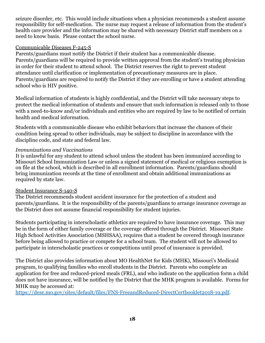seizure disorder, etc. This would include situations when a physician recommends a student assume responsibility for self-medication. The nurse may request a release of information from the student's health care provider and the information may be shared with necessary District staff members on a need to know basis. Please contact the school nurse.

#### <span id="page-17-0"></span>Communicable Diseases F-245-S

Parents/guardians must notify the District if their student has a communicable disease. Parents/guardians will be required to provide written approval from the student's treating physician in order for their student to attend school. The District reserves the right to prevent student attendance until clarification or implementation of precautionary measures are in place. Parents/guardians are required to notify the District if they are enrolling or have a student attending school who is HIV positive.

Medical information of students is highly confidential, and the District will take necessary steps to protect the medical information of students and ensure that such information is released only to those with a need-to-know and/or individuals and entities who are required by law to be notified of certain health and medical information.

Students with a communicable disease who exhibit behaviors that increase the chances of their condition being spread to other individuals, may be subject to discipline in accordance with the discipline code, and state and federal law.

#### *Immunizations and Vaccinations*

It is unlawful for any student to attend school unless the student has been immunized according to Missouri School Immunization Law or unless a signed statement of medical or religious exemption is on file at the school, which is described in all enrollment information. Parents/guardians should bring immunization records at the time of enrollment and obtain additional immunizations as required by state law.

# <span id="page-17-1"></span>Student Insurance S-140-S

The District recommends student accident insurance for the protection of a student and parents/guardians. It is the responsibility of the parents/guardians to arrange insurance coverage as the District does not assume financial responsibility for student injuries.

Students participating in interscholastic athletics are required to have insurance coverage. This may be in the form of either family coverage or the coverage offered through the District. Missouri State High School Activities Association (MSHSAA), requires that a student be covered through insurance before being allowed to practice or compete for a school team. The student will not be allowed to participate in interscholastic practices or competitions until proof of insurance is provided.

The District also provides information about MO HealthNet for Kids (MHK), Missouri's Medicaid program, to qualifying families who enroll students in the District. Parents who complete an application for free and reduced-priced meals (FRL), and who indicate on the application form a child does not have insurance, will be notified by the District that the MHK program is available. Forms for MHK may be accessed at:

[https://dese.mo.gov/sites/default/files/FNS-FreeandReduced-DirectCertbooklet2018-19.pdf.](https://dese.mo.gov/sites/default/files/FNS-FreeandReduced-DirectCertbooklet2018-19.pdf)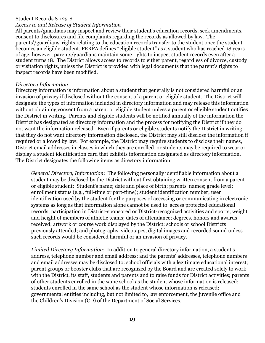#### <span id="page-18-0"></span>Student Records S-125-S

#### *Access to and Release of Student Information*

All parents/guardians may inspect and review their student's education records, seek amendments, consent to disclosures and file complaints regarding the records as allowed by law. The parents'/guardians' rights relating to the education records transfer to the student once the student becomes an eligible student. FERPA defines "eligible student" as a student who has reached 18 years of age; however, parents/guardians maintain some rights to inspect student records even after a student turns 18. The District allows access to records to either parent, regardless of divorce, custody or visitation rights, unless the District is provided with legal documents that the parent's rights to inspect records have been modified.

#### *Directory Information*

Directory information is information about a student that generally is not considered harmful or an invasion of privacy if disclosed without the consent of a parent or eligible student. The District will designate the types of information included in directory information and may release this information without obtaining consent from a parent or eligible student unless a parent or eligible student notifies the District in writing. Parents and eligible students will be notified annually of the information the District has designated as directory information and the process for notifying the District if they do not want the information released. Even if parents or eligible students notify the District in writing that they do not want directory information disclosed, the District may still disclose the information if required or allowed by law. For example, the District may require students to disclose their names, District email addresses in classes in which they are enrolled, or students may be required to wear or display a student identification card that exhibits information designated as directory information. The District designates the following items as directory information:

*General Directory Information*: The following personally identifiable information about a student may be disclosed by the District without first obtaining written consent from a parent or eligible student: Student's name; date and place of birth; parents' names; grade level; enrollment status (e.g., full-time or part-time); student identification number; user identification used by the student for the purposes of accessing or communicating in electronic systems as long as that information alone cannot be used to access protected educational records; participation in District-sponsored or District-recognized activities and sports; weight and height of members of athletic teams; dates of attendance; degrees, honors and awards received; artwork or course work displayed by the District; schools or school Districts previously attended; and photographs, videotapes, digital images and recorded sound unless such records would be considered harmful or an invasion of privacy.

*Limited Directory Information*: In addition to general directory information, a student's address, telephone number and email address; and the parents' addresses, telephone numbers and email addresses may be disclosed to: school officials with a legitimate educational interest; parent groups or booster clubs that are recognized by the Board and are created solely to work with the District, its staff, students and parents and to raise funds for District activities; parents of other students enrolled in the same school as the student whose information is released; students enrolled in the same school as the student whose information is released; governmental entities including, but not limited to, law enforcement, the juvenile office and the Children's Division (CD) of the Department of Social Services.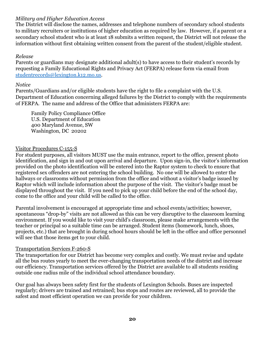# *Military and Higher Education Access*

The District will disclose the names, addresses and telephone numbers of secondary school students to military recruiters or institutions of higher education as required by law. However, if a parent or a secondary school student who is at least 18 submits a written request, the District will not release the information without first obtaining written consent from the parent of the student/eligible student.

#### *Release*

Parents or guardians may designate additional adult(s) to have access to their student's records by requesting a Family Educational Rights and Privacy Act (FERPA) release form via email from [studentrecords@lexington.k12.mo.us.](mailto:studentrecords@lexington.k12.mo.us)

#### *Notice*

Parents/Guardians and/or eligible students have the right to file a complaint with the U.S. Department of Education concerning alleged failures by the District to comply with the requirements of FERPA. The name and address of the Office that administers FERPA are:

Family Policy Compliance Office U.S. Department of Education 400 Maryland Avenue, SW Washington, DC 20202

#### <span id="page-19-0"></span>Visitor Procedures C-155-S

For student purposes, all visitors MUST use the main entrance, report to the office, present photo identification, and sign in and out upon arrival and departure. Upon sign-in, the visitor's information provided on the photo identification will be entered into the Raptor system to check to ensure that registered sex offenders are not entering the school building. No one will be allowed to enter the hallways or classrooms without permission from the office and without a visitor's badge issued by Raptor which will include information about the purpose of the visit. The visitor's badge must be displayed throughout the visit. If you need to pick up your child before the end of the school day, come to the office and your child will be called to the office.

Parental involvement is encouraged at appropriate time and school events/activities; however, spontaneous "drop-by" visits are not allowed as this can be very disruptive to the classroom learning environment. If you would like to visit your child's classroom, please make arrangements with the teacher or principal so a suitable time can be arranged. Student items (homework, lunch, shoes, projects, etc.) that are brought in during school hours should be left in the office and office personnel will see that those items get to your child.

#### <span id="page-19-1"></span>Transportation Services F-260-S

The transportation for our District has become very complex and costly. We must revise and update all the bus routes yearly to meet the ever-changing transportation needs of the district and increase our efficiency. Transportation services offered by the District are available to all students residing outside one radius mile of the individual school attendance boundary.

Our goal has always been safety first for the students of Lexington Schools. Buses are inspected regularly; drivers are trained and retrained; bus stops and routes are reviewed, all to provide the safest and most efficient operation we can provide for your children.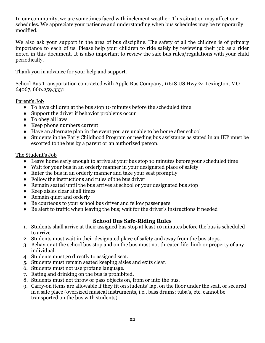In our community, we are sometimes faced with inclement weather. This situation may affect our schedules. We appreciate your patience and understanding when bus schedules may be temporarily modified.

We also ask your support in the area of bus discipline. The safety of all the children is of primary importance to each of us. Please help your children to ride safely by reviewing their job as a rider noted in this document. It is also important to review the safe bus rules/regulations with your child periodically.

Thank you in advance for your help and support.

School Bus Transportation contracted with Apple Bus Company, 11618 US Hwy 24 Lexington, MO 64067, 660.259.3331

Parent's Job

- To have children at the bus stop 10 minutes before the scheduled time
- Support the driver if behavior problems occur
- To obey all laws
- Keep phone numbers current
- Have an alternate plan in the event you are unable to be home after school
- Students in the Early Childhood Program or needing bus assistance as stated in an IEP must be escorted to the bus by a parent or an authorized person.

#### The Student's Job

- Leave home early enough to arrive at your bus stop 10 minutes before your scheduled time
- Wait for your bus in an orderly manner in your designated place of safety
- Enter the bus in an orderly manner and take your seat promptly
- Follow the instructions and rules of the bus driver
- Remain seated until the bus arrives at school or your designated bus stop
- Keep aisles clear at all times
- Remain quiet and orderly
- Be courteous to your school bus driver and fellow passengers
- Be alert to traffic when leaving the bus; wait for the driver's instructions if needed

# **School Bus Safe-Riding Rules**

- 1. Students shall arrive at their assigned bus stop at least 10 minutes before the bus is scheduled to arrive.
- 2. Students must wait in their designated place of safety and away from the bus stops.
- 3. Behavior at the school bus stop and on the bus must not threaten life, limb or property of any individual.
- 4. Students must go directly to assigned seat.
- 5. Students must remain seated keeping aisles and exits clear.
- 6. Students must not use profane language.
- 7. Eating and drinking on the bus is prohibited.
- 8. Students must not throw or pass objects on, from or into the bus.
- 9. Carry-on items are allowable if they fit on students' lap, on the floor under the seat, or secured in a safe place (oversized musical instruments, i.e., bass drums; tuba's, etc. cannot be transported on the bus with students).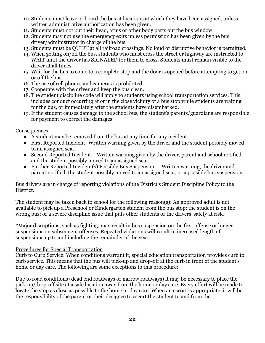- 10. Students must leave or board the bus at locations at which they have been assigned, unless written administrative authorization has been given.
- 11. Students must not put their head, arms or other body parts out the bus window.
- 12. Students may not use the emergency exits unless permission has been given by the bus driver/administrator in charge of the bus.
- 13. Students must be QUIET at all railroad crossings. No loud or disruptive behavior is permitted.
- 14. When getting on/off the bus, students who must cross the street or highway are instructed to WAIT until the driver has SIGNALED for them to cross. Students must remain visible to the driver at all times.
- 15. Wait for the bus to come to a complete stop and the door is opened before attempting to get on or off the bus.
- 16. The use of cell phones and cameras is prohibited.
- 17. Cooperate with the driver and keep the bus clean.
- 18. The student discipline code will apply to students using school transportation services. This includes conduct occurring at or in the close vicinity of a bus stop while students are waiting for the bus, or immediately after the students have disembarked.
- 19. If the student causes damage to the school bus, the student's parents/guardians are responsible for payment to correct the damages.

#### Consequences

- A student may be removed from the bus at any time for any incident.
- First Reported Incident- Written warning given by the driver and the student possibly moved to an assigned seat.
- Second Reported Incident Written warning given by the driver, parent and school notified and the student possibly moved to an assigned seat.
- Further Reported Incident(s) Possible Bus Suspension Written warning, the driver and parent notified, the student possibly moved to an assigned seat, or a possible bus suspension.

Bus drivers are in charge of reporting violations of the District's Student Discipline Policy to the District.

The student may be taken back to school for the following reason(s): An approved adult is not available to pick up a Preschool or Kindergarten student from the bus stop; the student is on the wrong bus; or a severe discipline issue that puts other students or the drivers' safety at risk.

\*Major disruptions, such as fighting, may result in bus suspension on the first offense or longer suspensions on subsequent offenses. Repeated violations will result in increased length of suspensions up to and including the remainder of the year.

# Procedures for Special Transportation

Curb to Curb Service: When conditions warrant it, special education transportation provides curb to curb service. This means that the bus will pick-up and drop-off at the curb in front of the student's home or day care. The following are some exceptions to this procedure:

Due to road conditions (dead end roadways or narrow roadways) it may be necessary to place the pick-up/drop-off site at a safe location away from the home or day care. Every effort will be made to locate the stop as close as possible to the home or day care. When an escort is appropriate, it will be the responsibility of the parent or their designee to escort the student to and from the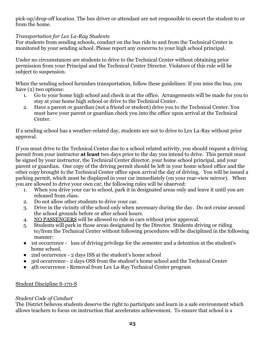pick-up/drop-off location. The bus driver or attendant are not responsible to escort the student to or from the home.

# *Transportation for Lex La-Ray Students*

For students from sending schools, conduct on the bus ride to and from the Technical Center is monitored by your sending school. Please report any concerns to your high school principal.

Under no circumstances are students to drive to the Technical Center without obtaining prior permission from your Principal and the Technical Center Director. Violators of this rule will be subject to suspension.

When the sending school furnishes transportation, follow these guidelines: If you miss the bus, you have (2) two options:

- 1. Go to your home high school and check in at the office. Arrangements will be made for you to stay at your home high school or drive to the Technical Center.
- 2. Have a parent or guardian (not a friend or student) drive you to the Technical Center. You must have your parent or guardian check you into the office upon arrival at the Technical Center.

If a sending school has a weather-related day, students are not to drive to Lex La-Ray without prior approval.

If you must drive to the Technical Center due to a school related activity, you should request a driving permit from your instructor **at least** two days prior to the day you intend to drive. This permit must be signed by your instructor, the Technical Center director, your home school principal, and your parent or guardian. One copy of the driving permit should be left in your home school office and the other copy brought to the Technical Center office upon arrival the day of driving. You will be issued a parking permit, which must be displayed in your car immediately (on your rear-view mirror). When you are allowed to drive your own car, the following rules will be observed:

- 1. When you drive your car to school, park it in designated areas only and leave it until you are released from class.
- 2. Do not allow other students to drive your car.
- 3. Drive in the vicinity of the school only when necessary during the day. Do not cruise around the school grounds before or after school hours.
- 4. NO PASSENGERS will be allowed to ride in cars without prior approval.
- 5. Students will park in those areas designated by the Director. Students driving or riding to/from the Technical Center without following procedures will be disciplined in the following manner:
- 1st occurrence loss of driving privilege for the semester and a detention at the student's home school.
- 2nd occurrence 2 days ISS at the student's home school
- 3rd occurrence 2 days OSS from the student's home school and the Technical Center
- 4th occurrence Removal from Lex La-Ray Technical Center program

# <span id="page-22-0"></span>Student Discipline S-170-S

# *Student Code of Conduct*

The District believes students deserve the right to participate and learn in a safe environment which allows teachers to focus on instruction that accelerates achievement. To ensure that school is a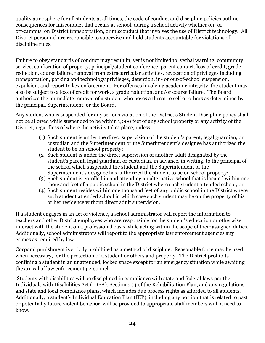quality atmosphere for all students at all times, the code of conduct and discipline policies outline consequences for misconduct that occurs at school, during a school activity whether on- or off-campus, on District transportation, or misconduct that involves the use of District technology. All District personnel are responsible to supervise and hold students accountable for violations of discipline rules.

Failure to obey standards of conduct may result in, yet is not limited to, verbal warning, community service, confiscation of property, principal/student conference, parent contact, loss of credit, grade reduction, course failure, removal from extracurricular activities, revocation of privileges including transportation, parking and technology privileges, detention, in- or out-of-school suspension, expulsion, and report to law enforcement. For offenses involving academic integrity, the student may also be subject to a loss of credit for work, a grade reduction, and/or course failure. The Board authorizes the immediate removal of a student who poses a threat to self or others as determined by the principal, Superintendent, or the Board.

Any student who is suspended for any serious violation of the District's Student Discipline policy shall not be allowed while suspended to be within 1,000 feet of any school property or any activity of the District, regardless of where the activity takes place, unless:

- (1) Such student is under the direct supervision of the student's parent, legal guardian, or custodian and the Superintendent or the Superintendent's designee has authorized the student to be on school property;
- (2) Such student is under the direct supervision of another adult designated by the student's parent, legal guardian, or custodian, in advance, in writing, to the principal of the school which suspended the student and the Superintendent or the Superintendent's designee has authorized the student to be on school property;
- (3) Such student is enrolled in and attending an alternative school that is located within one thousand feet of a public school in the District where such student attended school; or
- (4) Such student resides within one thousand feet of any public school in the District where such student attended school in which case such student may be on the property of his or her residence without direct adult supervision.

If a student engages in an act of violence, a school administrator will report the information to teachers and other District employees who are responsible for the student's education or otherwise interact with the student on a professional basis while acting within the scope of their assigned duties. Additionally, school administrators will report to the appropriate law enforcement agencies any crimes as required by law.

Corporal punishment is strictly prohibited as a method of discipline. Reasonable force may be used, when necessary, for the protection of a student or others and property. The District prohibits confining a student in an unattended, locked space except for an emergency situation while awaiting the arrival of law enforcement personnel.

Students with disabilities will be disciplined in compliance with state and federal laws per the Individuals with Disabilities Act (IDEA), Section 504 of the Rehabilitation Plan, and any regulations and state and local compliance plans, which includes due process rights as afforded to all students. Additionally, a student's Individual Education Plan (IEP), including any portion that is related to past or potentially future violent behavior, will be provided to appropriate staff members with a need to know.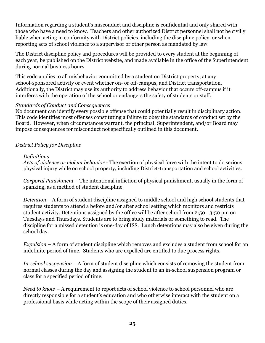Information regarding a student's misconduct and discipline is confidential and only shared with those who have a need to know. Teachers and other authorized District personnel shall not be civilly liable when acting in conformity with District policies, including the discipline policy, or when reporting acts of school violence to a supervisor or other person as mandated by law.

The District discipline policy and procedures will be provided to every student at the beginning of each year, be published on the District website, and made available in the office of the Superintendent during normal business hours.

This code applies to all misbehavior committed by a student on District property, at any school-sponsored activity or event whether on- or off-campus, and District transportation. Additionally, the District may use its authority to address behavior that occurs off-campus if it interferes with the operation of the school or endangers the safety of students or staff.

#### *Standards of Conduct and Consequences*

No document can identify every possible offense that could potentially result in disciplinary action. This code identifies most offenses constituting a failure to obey the standards of conduct set by the Board. However, when circumstances warrant, the principal, Superintendent, and/or Board may impose consequences for misconduct not specifically outlined in this document.

# *District Policy for Discipline*

#### *Definitions*

*Acts of violence or violent behavior* - The exertion of physical force with the intent to do serious physical injury while on school property, including District-transportation and school activities.

*Corporal Punishment* – The intentional infliction of physical punishment, usually in the form of spanking, as a method of student discipline.

*Detention* – A form of student discipline assigned to middle school and high school students that requires students to attend a before and/or after school setting which monitors and restricts student activity. Detentions assigned by the office will be after school from 2:50 - 3:50 pm on Tuesdays and Thursdays. Students are to bring study materials or something to read. The discipline for a missed detention is one-day of ISS. Lunch detentions may also be given during the school day.

*Expulsion* – A form of student discipline which removes and excludes a student from school for an indefinite period of time. Students who are expelled are entitled to due process rights.

*In-school suspension* – A form of student discipline which consists of removing the student from normal classes during the day and assigning the student to an in-school suspension program or class for a specified period of time.

*Need to know* – A requirement to report acts of school violence to school personnel who are directly responsible for a student's education and who otherwise interact with the student on a professional basis while acting within the scope of their assigned duties.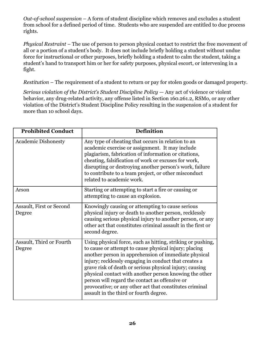*Out-of-school suspension* – A form of student discipline which removes and excludes a student from school for a defined period of time. Students who are suspended are entitled to due process rights.

*Physical Restraint* – The use of person to person physical contact to restrict the free movement of all or a portion of a student's body. It does not include briefly holding a student without undue force for instructional or other purposes, briefly holding a student to calm the student, taking a student's hand to transport him or her for safety purposes, physical escort, or intervening in a fight.

*Restitution* – The requirement of a student to return or pay for stolen goods or damaged property.

*Serious violation of the District's Student Discipline Policy* — Any act of violence or violent behavior, any drug-related activity, any offense listed in Section 160.261.2, RSMo, or any other violation of the District's Student Discipline Policy resulting in the suspension of a student for more than 10 school days.

| <b>Prohibited Conduct</b>          | <b>Definition</b>                                                                                                                                                                                                                                                                                                                                                                                                                                                                                                 |
|------------------------------------|-------------------------------------------------------------------------------------------------------------------------------------------------------------------------------------------------------------------------------------------------------------------------------------------------------------------------------------------------------------------------------------------------------------------------------------------------------------------------------------------------------------------|
| <b>Academic Dishonesty</b>         | Any type of cheating that occurs in relation to an<br>academic exercise or assignment. It may include<br>plagiarism, fabrication of information or citations,<br>cheating, falsification of work or excuses for work,<br>disrupting or destroying another person's work, failure<br>to contribute to a team project, or other misconduct<br>related to academic work.                                                                                                                                             |
| Arson                              | Starting or attempting to start a fire or causing or<br>attempting to cause an explosion.                                                                                                                                                                                                                                                                                                                                                                                                                         |
| Assault, First or Second<br>Degree | Knowingly causing or attempting to cause serious<br>physical injury or death to another person, recklessly<br>causing serious physical injury to another person, or any<br>other act that constitutes criminal assault in the first or<br>second degree.                                                                                                                                                                                                                                                          |
| Assault, Third or Fourth<br>Degree | Using physical force, such as hitting, striking or pushing,<br>to cause or attempt to cause physical injury; placing<br>another person in apprehension of immediate physical<br>injury; recklessly engaging in conduct that creates a<br>grave risk of death or serious physical injury; causing<br>physical contact with another person knowing the other<br>person will regard the contact as offensive or<br>provocative; or any other act that constitutes criminal<br>assault in the third or fourth degree. |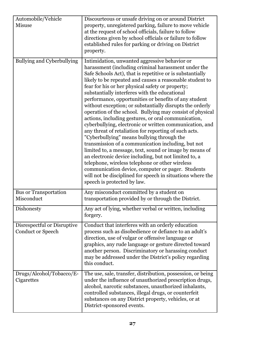| Automobile/Vehicle<br><b>Misuse</b>                     | Discourteous or unsafe driving on or around District<br>property, unregistered parking, failure to move vehicle<br>at the request of school officials, failure to follow<br>directions given by school officials or failure to follow<br>established rules for parking or driving on District<br>property.                                                                                                                                                                                                                                                                                                                                                                                                                                                                                                                                                                                                                                                                                                                                                                                                                   |
|---------------------------------------------------------|------------------------------------------------------------------------------------------------------------------------------------------------------------------------------------------------------------------------------------------------------------------------------------------------------------------------------------------------------------------------------------------------------------------------------------------------------------------------------------------------------------------------------------------------------------------------------------------------------------------------------------------------------------------------------------------------------------------------------------------------------------------------------------------------------------------------------------------------------------------------------------------------------------------------------------------------------------------------------------------------------------------------------------------------------------------------------------------------------------------------------|
| <b>Bullying and Cyberbullying</b>                       | Intimidation, unwanted aggressive behavior or<br>harassment (including criminal harassment under the<br>Safe Schools Act), that is repetitive or is substantially<br>likely to be repeated and causes a reasonable student to<br>fear for his or her physical safety or property;<br>substantially interferes with the educational<br>performance, opportunities or benefits of any student<br>without exception; or substantially disrupts the orderly<br>operation of the school. Bullying may consist of physical<br>actions, including gestures, or oral communication,<br>cyberbullying, electronic or written communication, and<br>any threat of retaliation for reporting of such acts.<br>"Cyberbullying" means bullying through the<br>transmission of a communication including, but not<br>limited to, a message, text, sound or image by means of<br>an electronic device including, but not limited to, a<br>telephone, wireless telephone or other wireless<br>communication device, computer or pager. Students<br>will not be disciplined for speech in situations where the<br>speech is protected by law. |
| <b>Bus or Transportation</b><br>Misconduct              | Any misconduct committed by a student on<br>transportation provided by or through the District.                                                                                                                                                                                                                                                                                                                                                                                                                                                                                                                                                                                                                                                                                                                                                                                                                                                                                                                                                                                                                              |
| Dishonesty                                              | Any act of lying, whether verbal or written, including<br>forgery.                                                                                                                                                                                                                                                                                                                                                                                                                                                                                                                                                                                                                                                                                                                                                                                                                                                                                                                                                                                                                                                           |
| Disrespectful or Disruptive<br><b>Conduct or Speech</b> | Conduct that interferes with an orderly education<br>process such as disobedience or defiance to an adult's<br>direction, use of vulgar or offensive language or<br>graphics, any rude language or gesture directed toward<br>another person. Discriminatory or harassing conduct<br>may be addressed under the District's policy regarding<br>this conduct.                                                                                                                                                                                                                                                                                                                                                                                                                                                                                                                                                                                                                                                                                                                                                                 |
| Drugs/Alcohol/Tobacco/E-<br>Cigarettes                  | The use, sale, transfer, distribution, possession, or being<br>under the influence of unauthorized prescription drugs,<br>alcohol, narcotic substances, unauthorized inhalants,<br>controlled substances, illegal drugs, or counterfeit<br>substances on any District property, vehicles, or at<br>District-sponsored events.                                                                                                                                                                                                                                                                                                                                                                                                                                                                                                                                                                                                                                                                                                                                                                                                |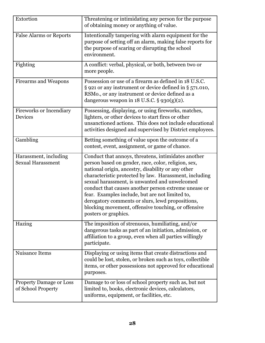| Extortion                                            | Threatening or intimidating any person for the purpose<br>of obtaining money or anything of value.                                                                                                                                                                                                                                                                                                                                                                                                                        |
|------------------------------------------------------|---------------------------------------------------------------------------------------------------------------------------------------------------------------------------------------------------------------------------------------------------------------------------------------------------------------------------------------------------------------------------------------------------------------------------------------------------------------------------------------------------------------------------|
| <b>False Alarms or Reports</b>                       | Intentionally tampering with alarm equipment for the<br>purpose of setting off an alarm, making false reports for<br>the purpose of scaring or disrupting the school<br>environment.                                                                                                                                                                                                                                                                                                                                      |
| Fighting                                             | A conflict: verbal, physical, or both, between two or<br>more people.                                                                                                                                                                                                                                                                                                                                                                                                                                                     |
| <b>Firearms and Weapons</b>                          | Possession or use of a firearm as defined in 18 U.S.C.<br>§ 921 or any instrument or device defined in § 571.010,<br>RSMo., or any instrument or device defined as a<br>dangerous weapon in $18$ U.S.C. § 930(g)(2).                                                                                                                                                                                                                                                                                                      |
| <b>Fireworks or Incendiary</b><br>Devices            | Possessing, displaying, or using fireworks, matches,<br>lighters, or other devices to start fires or other<br>unsanctioned actions. This does not include educational<br>activities designed and supervised by District employees.                                                                                                                                                                                                                                                                                        |
| Gambling                                             | Betting something of value upon the outcome of a<br>contest, event, assignment, or game of chance.                                                                                                                                                                                                                                                                                                                                                                                                                        |
| Harassment, including<br><b>Sexual Harassment</b>    | Conduct that annoys, threatens, intimidates another<br>person based on gender, race, color, religion, sex,<br>national origin, ancestry, disability or any other<br>characteristic protected by law. Harassment, including<br>sexual harassment, is unwanted and unwelcomed<br>conduct that causes another person extreme unease or<br>fear. Examples include, but are not limited to,<br>derogatory comments or slurs, lewd propositions,<br>blocking movement, offensive touching, or offensive<br>posters or graphics. |
| Hazing                                               | The imposition of strenuous, humiliating, and/or<br>dangerous tasks as part of an initiation, admission, or<br>affiliation to a group, even when all parties willingly<br>participate.                                                                                                                                                                                                                                                                                                                                    |
| Nuisance Items                                       | Displaying or using items that create distractions and<br>could be lost, stolen, or broken such as toys, collectible<br>items, or other possessions not approved for educational<br>purposes.                                                                                                                                                                                                                                                                                                                             |
| <b>Property Damage or Loss</b><br>of School Property | Damage to or loss of school property such as, but not<br>limited to, books, electronic devices, calculators,<br>uniforms, equipment, or facilities, etc.                                                                                                                                                                                                                                                                                                                                                                  |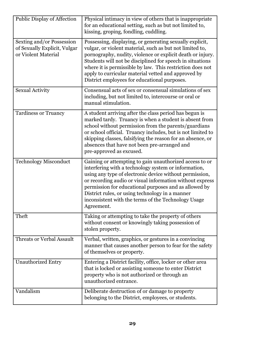| Public Display of Affection                                                      | Physical intimacy in view of others that is inappropriate<br>for an educational setting, such as but not limited to,<br>kissing, groping, fondling, cuddling.                                                                                                                                                                                                                                                           |
|----------------------------------------------------------------------------------|-------------------------------------------------------------------------------------------------------------------------------------------------------------------------------------------------------------------------------------------------------------------------------------------------------------------------------------------------------------------------------------------------------------------------|
| Sexting and/or Possession<br>of Sexually Explicit, Vulgar<br>or Violent Material | Possessing, displaying, or generating sexually explicit,<br>vulgar, or violent material, such as but not limited to,<br>pornography, nudity, violence or explicit death or injury.<br>Students will not be disciplined for speech in situations<br>where it is permissible by law. This restriction does not<br>apply to curricular material vetted and approved by<br>District employees for educational purposes.     |
| <b>Sexual Activity</b>                                                           | Consensual acts of sex or consensual simulations of sex<br>including, but not limited to, intercourse or oral or<br>manual stimulation.                                                                                                                                                                                                                                                                                 |
| <b>Tardiness or Truancy</b>                                                      | A student arriving after the class period has begun is<br>marked tardy. Truancy is when a student is absent from<br>school without permission from the parents/guardians<br>or school official. Truancy includes, but is not limited to<br>skipping classes, falsifying the reason for an absence, or<br>absences that have not been pre-arranged and<br>pre-approved as excused.                                       |
| <b>Technology Misconduct</b>                                                     | Gaining or attempting to gain unauthorized access to or<br>interfering with a technology system or information,<br>using any type of electronic device without permission,<br>or recording audio or visual information without express<br>permission for educational purposes and as allowed by<br>District rules, or using technology in a manner<br>inconsistent with the terms of the Technology Usage<br>Agreement. |
| Theft                                                                            | Taking or attempting to take the property of others<br>without consent or knowingly taking possession of<br>stolen property.                                                                                                                                                                                                                                                                                            |
| <b>Threats or Verbal Assault</b>                                                 | Verbal, written, graphics, or gestures in a convincing<br>manner that causes another person to fear for the safety<br>of themselves or property.                                                                                                                                                                                                                                                                        |
| <b>Unauthorized Entry</b>                                                        | Entering a District facility, office, locker or other area<br>that is locked or assisting someone to enter District<br>property who is not authorized or through an<br>unauthorized entrance.                                                                                                                                                                                                                           |
| Vandalism                                                                        | Deliberate destruction of or damage to property<br>belonging to the District, employees, or students.                                                                                                                                                                                                                                                                                                                   |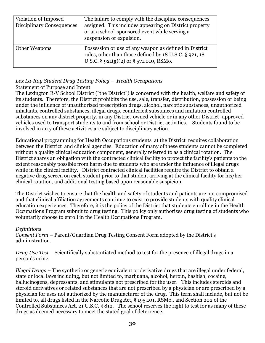| Violation of Imposed<br><b>Disciplinary Consequences</b> | The failure to comply with the discipline consequences<br>assigned. This includes appearing on District property<br>or at a school-sponsored event while serving a<br>suspension or expulsion. |
|----------------------------------------------------------|------------------------------------------------------------------------------------------------------------------------------------------------------------------------------------------------|
| Other Weapons                                            | Possession or use of any weapon as defined in District<br>rules, other than those defined by 18 U.S.C. § 921, 18<br>U.S.C. $\S$ 921(g)(2) or $\S$ 571.010, RSMo.                               |

#### <span id="page-29-0"></span>*Lex La-Ray Student Drug Testing Policy – Health Occupations* Statement of Purpose and Intent

The Lexington R-V School District ("the District") is concerned with the health, welfare and safety of its students. Therefore, the District prohibits the use, sale, transfer, distribution, possession or being under the influence of unauthorized prescription drugs, alcohol, narcotic substances, unauthorized inhalants, controlled substances, illegal drugs, counterfeit substances and imitation controlled substances on any district property, in any District-owned vehicle or in any other District- approved vehicles used to transport students to and from school or District activities. Students found to be involved in an y of these activities are subject to disciplinary action.

Educational programming for Health Occupations students at the District requires collaboration between the District and clinical agencies. Education of many of these students cannot be completed without a quality clinical education component, generally referred to as a clinical rotation. The District shares an obligation with the contracted clinical facility to protect the facility's patients to the extent reasonably possible from harm due to students who are under the influence of illegal drugs while in the clinical facility. District contracted clinical facilities require the District to obtain a negative drug screen on each student prior to that student arriving at the clinical facility for his/her clinical rotation, and additional testing based upon reasonable suspicion.

The District wishes to ensure that the health and safety of students and patients are not compromised and that clinical affiliation agreements continue to exist to provide students with quality clinical education experiences. Therefore, it is the policy of the District that students enrolling in the Health Occupations Program submit to drug testing. This policy only authorizes drug testing of students who voluntarily choose to enroll in the Health Occupations Program.

#### *Definitions*

*Consent Form* – Parent/Guardian Drug Testing Consent Form adopted by the District's administration.

*Drug Use Test –* Scientifically substantiated method to test for the presence of illegal drugs in a person's urine.

*Illegal Drugs –* The synthetic or generic equivalent or derivative drugs that are illegal under federal, state or local laws including, but not limited to, marijuana, alcohol, heroin, hashish, cocaine, hallucinogens, depressants, and stimulants not prescribed for the user. This includes steroids and steroid derivatives or related substances that are not prescribed by a physician or are prescribed by a physician for uses not authorized by the manufacturer of the drug. This term shall include, but not be limited to, all drugs listed in the Narcotic Drug Act, § 195.101, RSMo., and Section 202 of the Controlled Substances Act, 21 U.S.C. § 812. The school reserves the right to test for as many of these drugs as deemed necessary to meet the stated goal of deterrence.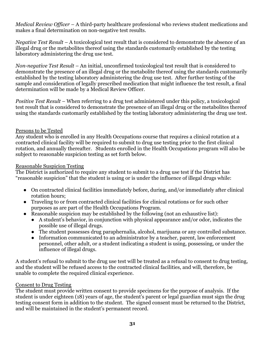*Medical Review Officer –* A third-party healthcare professional who reviews student medications and makes a final determination on non-negative test results.

*Negative Test Result –* A toxicological test result that is considered to demonstrate the absence of an illegal drug or the metabolites thereof using the standards customarily established by the testing laboratory administering the drug use test.

*Non-negative Test Result –* An initial, unconfirmed toxicological test result that is considered to demonstrate the presence of an illegal drug or the metabolite thereof using the standards customarily established by the testing laboratory administering the drug use test. After further testing of the sample and consideration of legally prescribed medication that might influence the test result, a final determination will be made by a Medical Review Officer.

*Positive Test Result –* When referring to a drug test administered under this policy, a toxicological test result that is considered to demonstrate the presence of an illegal drug or the metabolites thereof using the standards customarily established by the testing laboratory administering the drug use test.

#### Persons to be Tested

Any student who is enrolled in any Health Occupations course that requires a clinical rotation at a contracted clinical facility will be required to submit to drug use testing prior to the first clinical rotation, and annually thereafter. Students enrolled in the Health Occupations program will also be subject to reasonable suspicion testing as set forth below.

#### Reasonable Suspicion Testing

The District is authorized to require any student to submit to a drug use test if the District has "reasonable suspicion" that the student is using or is under the influence of illegal drugs while:

- On contracted clinical facilities immediately before, during, and/or immediately after clinical rotation hours;
- Traveling to or from contracted clinical facilities for clinical rotations or for such other purposes as are part of the Health Occupations Program.
- Reasonable suspicion may be established by the following (not an exhaustive list):
	- A student's behavior, in conjunction with physical appearance and/or odor, indicates the possible use of illegal drugs.
	- The student possesses drug paraphernalia, alcohol, marijuana or any controlled substance.
	- Information communicated to an administrator by a teacher, parent, law enforcement personnel, other adult, or a student indicating a student is using, possessing, or under the influence of illegal drugs.

A student's refusal to submit to the drug use test will be treated as a refusal to consent to drug testing, and the student will be refused access to the contracted clinical facilities, and will, therefore, be unable to complete the required clinical experience.

# Consent to Drug Testing

The student must provide written consent to provide specimens for the purpose of analysis. If the student is under eighteen (18) years of age, the student's parent or legal guardian must sign the drug testing consent form in addition to the student. The signed consent must be returned to the District, and will be maintained in the student's permanent record.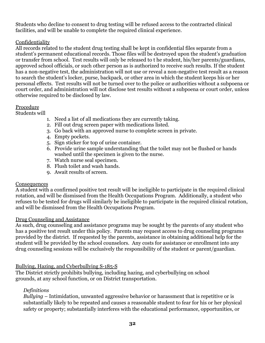Students who decline to consent to drug testing will be refused access to the contracted clinical facilities, and will be unable to complete the required clinical experience.

#### Confidentiality

All records related to the student drug testing shall be kept in confidential files separate from a student's permanent educational records. Those files will be destroyed upon the student's graduation or transfer from school. Test results will only be released to t he student, his/her parents/guardians, approved school officials, or such other person as is authorized to receive such results. If the student has a non-negative test, the administration will not use or reveal a non-negative test result as a reason to search the student's locker, purse, backpack, or other area in which the student keeps his or her personal effects. Test results will not be turned over to the police or authorities without a subpoena or court order, and administration will not disclose test results without a subpoena or court order, unless otherwise required to be disclosed by law.

#### Procedure

Students will

- 1. Need a list of all medications they are currently taking.
- 2. Fill out drug screen paper with medications listed.
- 3. Go back with an approved nurse to complete screen in private.
- 4. Empty pockets.
- 5. Sign sticker for top of urine container.
- 6. Provide urine sample understanding that the toilet may not be flushed or hands washed until the specimen is given to the nurse.
- 7. Watch nurse seal specimen.
- 8. Flush toilet and wash hands.
- 9. Await results of screen.

#### **Consequences**

A student with a confirmed positive test result will be ineligible to participate in the required clinical rotation, and will be dismissed from the Health Occupations Program. Additionally, a student who refuses to be tested for drugs will similarly be ineligible to participate in the required clinical rotation, and will be dismissed from the Health Occupations Program.

#### Drug Counseling and Assistance

As such, drug counseling and assistance programs may be sought by the parents of any student who has a positive test result under this policy. Parents may request access to drug counseling programs provided by the district. If requested by the parents, assistance in obtaining additional help for the student will be provided by the school counselors. Any costs for assistance or enrollment into any drug counseling sessions will be exclusively the responsibility of the student or parent/guardian.

#### <span id="page-31-0"></span>Bullying, Hazing, and Cyberbullying S-185-S

The District strictly prohibits bullying, including hazing, and cyberbullying on school grounds, at any school function, or on District transportation.

#### *Definitions*

*Bullying* – Intimidation, unwanted aggressive behavior or harassment that is repetitive or is substantially likely to be repeated and causes a reasonable student to fear for his or her physical safety or property; substantially interferes with the educational performance, opportunities, or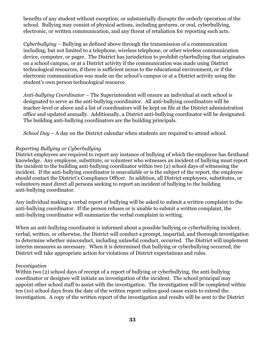benefits of any student without exception; or substantially disrupts the orderly operation of the school. Bullying may consist of physical actions, including gestures, or oral, cyberbullying, electronic, or written communication, and any threat of retaliation for reporting such acts.

*Cyberbullying* – Bullying as defined above through the transmission of a communication including, but not limited to a telephone, wireless telephone, or other wireless communication device, computer, or pager. The District has jurisdiction to prohibit cyberbullying that originates on a school campus, or at a District activity if the communication was made using District technological resources, if there is sufficient nexus to the educational environment, or if the electronic communication was made on the school's campus or at a District activity using the student's own person technological resource.

*Anti-bullying Coordinator* – The Superintendent will ensure an individual at each school is designated to serve as the anti-bullying coordinator. All anti-bullying coordinators will be teacher-level or above and a list of coordinators will be kept on file at the District administration office and updated annually. Additionally, a District anti-bullying coordinator will be designated. The building anti-bullying coordinators are the building principals.

*School Day* – A day on the District calendar when students are required to attend school.

#### *Reporting Bullying or Cyberbullying*

District employees are required to report any instance of bullying of which the employee has firsthand knowledge. Any employee, substitute, or volunteer who witnesses an incident of bullying must report the incident to the building anti-bullying coordinator within two (2) school days of witnessing the incident. If the anti-bullying coordinator is unavailable or is the subject of the report, the employee should contact the District's Compliance Officer. In addition, all District employees, substitutes, or volunteers must direct all persons seeking to report an incident of bullying to the building anti-bullying coordinator.

Any individual making a verbal report of bullying will be asked to submit a written complaint to the anti-bullying coordinator. If the person refuses or is unable to submit a written complaint, the anti-bullying coordinator will summarize the verbal complaint in writing.

When an anti-bullying coordinator is informed about a possible bullying or cyberbullying incident, verbal, written, or otherwise, the District will conduct a prompt, impartial, and thorough investigation to determine whether misconduct, including unlawful conduct, occurred. The District will implement interim measures as necessary. When it is determined that bullying or cyberbullying occurred, the District will take appropriate action for violations of District expectations and rules.

#### *Investigation*

Within two (2) school days of receipt of a report of bullying or cyberbullying, the anti-bullying coordinator or designee will initiate an investigation of the incident. The school principal may appoint other school staff to assist with the investigation. The investigation will be completed within ten (10) school days from the date of the written report unless good cause exists to extend the investigation. A copy of the written report of the investigation and results will be sent to the District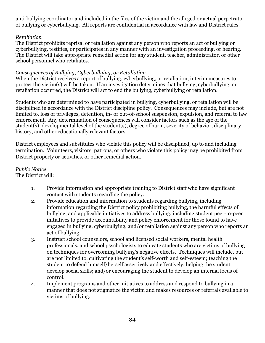anti-bullying coordinator and included in the files of the victim and the alleged or actual perpetrator of bullying or cyberbullying. All reports are confidential in accordance with law and District rules.

#### *Retaliation*

The District prohibits reprisal or retaliation against any person who reports an act of bullying or cyberbullying, testifies, or participates in any manner with an investigation proceeding, or hearing. The District will take appropriate remedial action for any student, teacher, administrator, or other school personnel who retaliates.

#### *Consequences of Bullying, Cyberbullying, or Retaliation*

When the District receives a report of bullying, cyberbullying, or retaliation, interim measures to protect the victim(s) will be taken. If an investigation determines that bullying, cyberbullying, or retaliation occurred, the District will act to end the bullying, cyberbullying or retaliation.

Students who are determined to have participated in bullying, cyberbullying, or retaliation will be disciplined in accordance with the District discipline policy. Consequences may include, but are not limited to, loss of privileges, detention, in- or out-of-school suspension, expulsion, and referral to law enforcement. Any determination of consequences will consider factors such as the age of the student(s), developmental level of the student(s), degree of harm, severity of behavior, disciplinary history, and other educationally relevant factors.

District employees and substitutes who violate this policy will be disciplined, up to and including termination. Volunteers, visitors, patrons, or others who violate this policy may be prohibited from District property or activities, or other remedial action.

#### *Public Notice* The District will:

- 1. Provide information and appropriate training to District staff who have significant contact with students regarding the policy.
	- 2. Provide education and information to students regarding bullying, including information regarding the District policy prohibiting bullying, the harmful effects of bullying, and applicable initiatives to address bullying, including student peer-to-peer initiatives to provide accountability and policy enforcement for those found to have engaged in bullying, cyberbullying, and/or retaliation against any person who reports an act of bullying.
	- 3. Instruct school counselors, school and licensed social workers, mental health professionals, and school psychologists to educate students who are victims of bullying on techniques for overcoming bullying's negative effects. Techniques will include, but are not limited to, cultivating the student's self-worth and self-esteem; teaching the student to defend himself/herself assertively and effectively; helping the student develop social skills; and/or encouraging the student to develop an internal locus of control.
	- 4. Implement programs and other initiatives to address and respond to bullying in a manner that does not stigmatize the victim and makes resources or referrals available to victims of bullying.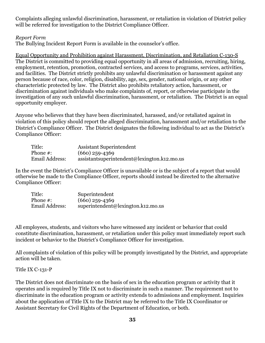Complaints alleging unlawful discrimination, harassment, or retaliation in violation of District policy will be referred for investigation to the District Compliance Officer.

#### <span id="page-34-0"></span>*Report Form*

The Bullying Incident Report Form is available in the counselor's office.

<span id="page-34-1"></span>Equal Opportunity and Prohibition against Harassment, Discrimination, and Retaliation C-130-S The District is committed to providing equal opportunity in all areas of admission, recruiting, hiring, employment, retention, promotion, contracted services, and access to programs, services, activities, and facilities. The District strictly prohibits any unlawful discrimination or harassment against any person because of race, color, religion, disability, age, sex, gender, national origin, or any other characteristic protected by law. The District also prohibits retaliatory action, harassment, or discrimination against individuals who make complaints of, report, or otherwise participate in the investigation of any such unlawful discrimination, harassment, or retaliation. The District is an equal opportunity employer.

Anyone who believes that they have been discriminated, harassed, and/or retaliated against in violation of this policy should report the alleged discrimination, harassment and/or retaliation to the District's Compliance Officer. The District designates the following individual to act as the District's Compliance Officer:

| Title:         | <b>Assistant Superintendent</b>               |
|----------------|-----------------------------------------------|
| Phone #:       | $(660)$ 259-4369                              |
| Email Address: | $assistantsuperintendent@lexington.k12.mo.us$ |

In the event the District's Compliance Officer is unavailable or is the subject of a report that would otherwise be made to the Compliance Officer, reports should instead be directed to the alternative Compliance Officer:

| Title:         | Superintendent                     |
|----------------|------------------------------------|
| Phone $#$ :    | $(660)$ 259-4369                   |
| Email Address: | superintendent@lexington.k12.mo.us |

All employees, students, and visitors who have witnessed any incident or behavior that could constitute discrimination, harassment, or retaliation under this policy must immediately report such incident or behavior to the District's Compliance Officer for investigation.

All complaints of violation of this policy will be promptly investigated by the District, and appropriate action will be taken.

#### <span id="page-34-2"></span>Title IX C-131-P

The District does not discriminate on the basis of sex in the education program or activity that it operates and is required by Title IX not to discriminate in such a manner. The requirement not to discriminate in the education program or activity extends to admissions and employment. Inquiries about the application of Title IX to the District may be referred to the Title IX Coordinator or Assistant Secretary for Civil Rights of the Department of Education, or both.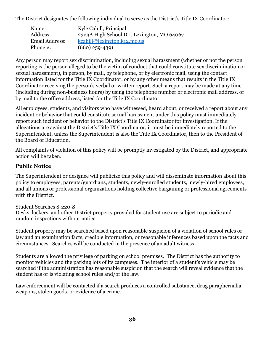The District designates the following individual to serve as the District's Title IX Coordinator:

| Name:          | Kyle Cahill, Principal                     |
|----------------|--------------------------------------------|
| Address:       | 2323A High School Dr., Lexington, MO 64067 |
| Email Address: | kcahill@lexington.k12.mo.us                |
| Phone $#$ :    | $(660)$ 259-4391                           |

Any person may report sex discrimination, including sexual harassment (whether or not the person reporting is the person alleged to be the victim of conduct that could constitute sex discrimination or sexual harassment), in person, by mail, by telephone, or by electronic mail, using the contact information listed for the Title IX Coordinator, or by any other means that results in the Title IX Coordinator receiving the person's verbal or written report. Such a report may be made at any time (including during non-business hours) by using the telephone number or electronic mail address, or by mail to the office address, listed for the Title IX Coordinator.

All employees, students, and visitors who have witnessed, heard about, or received a report about any incident or behavior that could constitute sexual harassment under this policy must immediately report such incident or behavior to the District's Title IX Coordinator for investigation. If the allegations are against the District's Title IX Coordinator, it must be immediately reported to the Superintendent, unless the Superintendent is also the Title IX Coordinator, then to the President of the Board of Education.

All complaints of violation of this policy will be promptly investigated by the District, and appropriate action will be taken.

# **Public Notice**

The Superintendent or designee will publicize this policy and will disseminate information about this policy to employees, parents/guardians, students, newly-enrolled students, newly-hired employees, and all unions or professional organizations holding collective bargaining or professional agreements with the District.

#### <span id="page-35-0"></span>Student Searches S-220-S

Desks, lockers, and other District property provided for student use are subject to periodic and random inspections without notice.

Student property may be searched based upon reasonable suspicion of a violation of school rules or law and an examination facts, credible information, or reasonable inferences based upon the facts and circumstances. Searches will be conducted in the presence of an adult witness.

Students are allowed the privilege of parking on school premises. The District has the authority to monitor vehicles and the parking lots of its campuses. The interior of a student's vehicle may be searched if the administration has reasonable suspicion that the search will reveal evidence that the student has or is violating school rules and/or the law.

Law enforcement will be contacted if a search produces a controlled substance, drug paraphernalia, weapons, stolen goods, or evidence of a crime.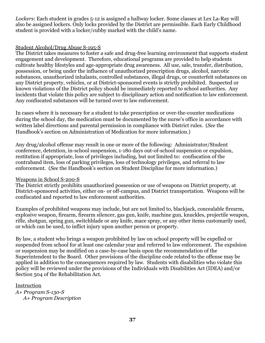*Lockers*: Each student in grades 5-12 is assigned a hallway locker. Some classes at Lex La-Ray will also be assigned lockers. Only locks provided by the District are permissible. Each Early Childhood student is provided with a locker/cubby marked with the child's name.

### Student Alcohol/Drug Abuse S-195-S

The District takes measures to foster a safe and drug-free learning environment that supports student engagement and development. Therefore, educational programs are provided to help students cultivate healthy lifestyles and age-appropriate drug awareness. All use, sale, transfer, distribution, possession, or being under the influence of unauthorized prescription drugs, alcohol, narcotic substances, unauthorized inhalants, controlled substances, illegal drugs, or counterfeit substances on any District property, vehicles, or at District-sponsored events is strictly prohibited. Suspected or known violations of the District policy should be immediately reported to school authorities. Any incidents that violate this policy are subject to disciplinary action and notification to law enforcement. Any confiscated substances will be turned over to law enforcement.

In cases where it is necessary for a student to take prescription or over-the-counter medications during the school day, the medication must be documented by the nurse's office in accordance with written label directions and parental permission in compliance with District rules. (*See* the Handbook's section on Administration of Medication for more information.)

Any drug/alcohol offense may result in one or more of the following: Administrator/Student conference, detention, in-school suspension, 1-180 days out-of-school suspension or expulsion, restitution if appropriate, loss of privileges including, but not limited to: confiscation of the contraband item, loss of parking privileges, loss of technology privileges, and referral to law enforcement. (*See* the Handbook's section on Student Discipline for more information.)

### Weapons in School S-200-S

The District strictly prohibits unauthorized possession or use of weapons on District property, at District-sponsored activities, either on- or off-campus, and District transportation. Weapons will be confiscated and reported to law enforcement authorities.

Examples of prohibited weapons may include, but are not limited to, blackjack, concealable firearm, explosive weapon, firearm, firearm silencer, gas gun, knife, machine gun, knuckles, projectile weapon, rifle, shotgun, spring gun, switchblade or any knife, mace spray, or any other items customarily used, or which can be used, to inflict injury upon another person or property.

By law, a student who brings a weapon prohibited by law on school property will be expelled or suspended from school for at least one calendar year and referred to law enforcement. The expulsion or suspension may be modified on a case-by-case basis upon the recommendation of the Superintendent to the Board. Other provisions of the discipline code related to the offense may be applied in addition to the consequences required by law. Students with disabilities who violate this policy will be reviewed under the provisions of the Individuals with Disabilities Act (IDEA) and/or Section 504 of the Rehabilitation Act.

### Instruction

*A+ Program S-130-S A+ Program Description*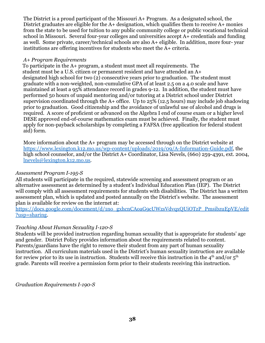The District is a proud participant of the Missouri A+ Program. As a designated school, the District graduates are eligible for the A+ designation, which qualifies them to receive A+ monies from the state to be used for tuition to any public community college or public vocational technical school in Missouri. Several four-year colleges and universities accept A+ credentials and funding as well. Some private, career/technical schools are also A+ eligible. In addition, more four- year institutions are offering incentives for students who meet the A+ criteria.

### *A+ Program Requirements*

To participate in the A+ program, a student must meet all requirements. The student must be a U.S. citizen or permanent resident and have attended an A+ designated high school for two (2) consecutive years prior to graduation. The student must graduate with a non-weighted, non-cumulative GPA of at least 2.5 on a 4.0 scale and have maintained at least a 95% attendance record in grades 9-12. In addition, the student must have performed 50 hours of unpaid mentoring and/or tutoring at a District school under District supervision coordinated through the A+ office. Up to 25% (12.5 hours) may include job shadowing prior to graduation. Good citizenship and the avoidance of unlawful use of alcohol and drugs is required. A score of proficient or advanced on the Algebra I end of course exam or a higher level DESE approved end-of-course mathematics exam must be achieved. Finally, the student must apply for non-payback scholarships by completing a FAFSA (free application for federal student aid) form.

More information about the A+ program may be accessed through on the District website at [https://www.lexington.k12.mo.us/wp-content/uploads/2019/09/A-Information-Guide.pdf,](https://www.lexington.k12.mo.us/wp-content/uploads/2019/09/A-Information-Guide.pdf) the high school counselor, and/or the District A+ Coordinator, Lisa Nevels, (660) 259-4391, ext. 2004, [lnevels@lexington.k12.mo.us.](mailto:lnevels@lexington.k12.mo.us)

## *Assessment Program I-195-S*

All students will participate in the required, statewide screening and assessment program or an alternative assessment as determined by a student's Individual Education Plan (IEP). The District will comply with all assessment requirements for students with disabilities. The District has a written assessment plan, which is updated and posted annually on the District's website. The assessment plan is available for review on the internet at:

[https://docs.google.com/document/d/1no\\_gxhcnCAoaG9cUWzsVdvqxQUiOTzP\\_PmsibzuEpVE/edit](https://docs.google.com/document/d/1no_gxhcnCAoaG9cUWzsVdvqxQUiOTzP_PmsibzuEpVE/edit?usp=sharing) [?usp=sharing](https://docs.google.com/document/d/1no_gxhcnCAoaG9cUWzsVdvqxQUiOTzP_PmsibzuEpVE/edit?usp=sharing).

## *Teaching About Human Sexuality I-120-S*

Students will be provided instruction regarding human sexuality that is appropriate for students' age and gender. District Policy provides information about the requirements related to content. Parents/guardians have the right to remove their student from any part of human sexuality instruction. All curriculum materials used in the District's human sexuality instruction are available for review prior to its use in instruction. Students will receive this instruction in the  $4<sup>th</sup>$  and/or  $5<sup>th</sup>$ grade. Parents will receive a permission form prior to their students receiving this instruction.

*Graduation Requirements I-190-S*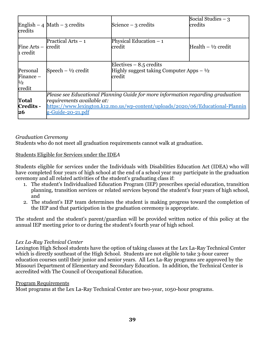| credits                                  | English $-4$ Math $-3$ credits                                                                                                                                                                                           | Science $-3$ credits                                                              | Social Studies $-3$<br>lcredits |
|------------------------------------------|--------------------------------------------------------------------------------------------------------------------------------------------------------------------------------------------------------------------------|-----------------------------------------------------------------------------------|---------------------------------|
| Fine Arts $-$<br>1 credit                | Practical Arts - 1<br>credit                                                                                                                                                                                             | Physical Education $-1$<br>lcredit                                                | Health $- \frac{1}{2}$ credit   |
| Personal<br>Finance $-$<br>1/2<br>credit | Speech $ \frac{1}{2}$ credit                                                                                                                                                                                             | Electives $-8.5$ credits<br>Highly suggest taking Computer Apps $-1/2$<br>lcredit |                                 |
| Total<br>Credits -<br>26                 | Please see Educational Planning Guide for more information regarding graduation<br>$ requirements\ available$ at:<br>https://www.lexington.k12.mo.us/wp-content/uploads/2020/06/Educational-Plannin<br>g-Guide-20-21.pdf |                                                                                   |                                 |

## *Graduation Ceremony*

Students who do not meet all graduation requirements cannot walk at graduation.

#### Students Eligible for Services under the IDE*A*

Students eligible for services under the Individuals with Disabilities Education Act (IDEA) who will have completed four years of high school at the end of a school year may participate in the graduation ceremony and all related activities of the student's graduating class if:

- 1. The student's Individualized Education Program (IEP) prescribes special education, transition planning, transition services or related services beyond the student's four years of high school, and
- 2. The student's IEP team determines the student is making progress toward the completion of the IEP and that participation in the graduation ceremony is appropriate.

The student and the student's parent/guardian will be provided written notice of this policy at the annual IEP meeting prior to or during the student's fourth year of high school.

### *Lex La-Ray Technical Center*

Lexington High School students have the option of taking classes at the Lex La-Ray Technical Center which is directly southeast of the High School. Students are not eligible to take 3-hour career education courses until their junior and senior years. All Lex La-Ray programs are approved by the Missouri Department of Elementary and Secondary Education. In addition, the Technical Center is accredited with The Council of Occupational Education.

#### Program Requirements

Most programs at the Lex La-Ray Technical Center are two-year, 1050-hour programs.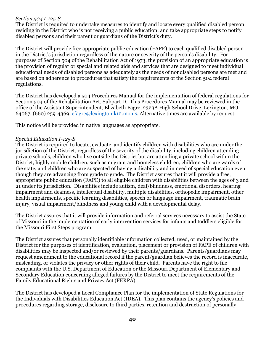### *Section 504 I-125-S*

The District is required to undertake measures to identify and locate every qualified disabled person residing in the District who is not receiving a public education; and take appropriate steps to notify disabled persons and their parent or guardians of the District's duty.

The District will provide free appropriate public education (FAPE) to each qualified disabled person in the District's jurisdiction regardless of the nature or severity of the person's disability. For purposes of Section 504 of the Rehabilitation Act of 1973, the provision of an appropriate education is the provision of regular or special and related aids and services that are designed to meet individual educational needs of disabled persons as adequately as the needs of nondisabled persons are met and are based on adherence to procedures that satisfy the requirements of the Section 504 federal regulations.

The District has developed a 504 Procedures Manual for the implementation of federal regulations for Section 504 of the Rehabilitation Act, Subpart D. This Procedures Manual may be reviewed in the office of the Assistant Superintendent, Elizabeth Fagre, 2323A High School Drive, Lexington, MO 64067, (660) 259-4369, [efagre@lexington.k12.mo.us.](mailto:efagre@lexington.k12.mo.us) Alternative times are available by request.

This notice will be provided in native languages as appropriate.

### *Special Education I-125-S*

The District is required to locate, evaluate, and identify children with disabilities who are under the jurisdiction of the District, regardless of the severity of the disability, including children attending private schools, children who live outside the District but are attending a private school within the District, highly mobile children, such as migrant and homeless children, children who are wards of the state, and children who are suspected of having a disability and in need of special education even though they are advancing from grade to grade. The District assures that it will provide a free, appropriate public education (FAPE) to all eligible children with disabilities between the ages of 3 and 21 under its jurisdiction. Disabilities include autism, deaf/blindness, emotional disorders, hearing impairment and deafness, intellectual disability, multiple disabilities, orthopedic impairment, other health impairments, specific learning disabilities, speech or language impairment, traumatic brain injury, visual impairment/blindness and young child with a developmental delay.

The District assures that it will provide information and referral services necessary to assist the State of Missouri in the implementation of early intervention services for infants and toddlers eligible for the Missouri First Steps program.

The District assures that personally identifiable information collected, used, or maintained by the District for the purposes of identification, evaluation, placement or provision of FAPE of children with disabilities may be inspected and/or reviewed by their parents/guardians. Parents/guardians may request amendment to the educational record if the parent/guardian believes the record is inaccurate, misleading, or violates the privacy or other rights of their child. Parents have the right to file complaints with the U.S. Department of Education or the Missouri Department of Elementary and Secondary Education concerning alleged failures by the District to meet the requirements of the Family Educational Rights and Privacy Act (FERPA).

The District has developed a Local Compliance Plan for the implementation of State Regulations for the Individuals with Disabilities Education Act (IDEA). This plan contains the agency's policies and procedures regarding storage, disclosure to third parties, retention and destruction of personally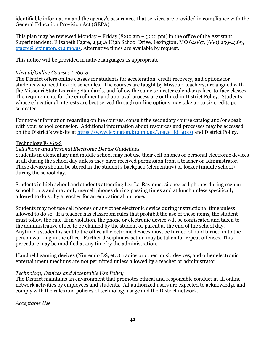identifiable information and the agency's assurances that services are provided in compliance with the General Education Provision Act (GEPA).

This plan may be reviewed Monday – Friday  $(8:00 \text{ am} - 3:00 \text{ pm})$  in the office of the Assistant Superintendent, Elizabeth Fagre, 2323A High School Drive, Lexington, MO 64067, (660) 259-4369, [efagre@lexington.k12.mo.us.](mailto:awilliams@lexington.k12.mo.us) Alternative times are available by request.

This notice will be provided in native languages as appropriate.

## *Virtual/Online Courses I-160-S*

The District offers online classes for students for acceleration, credit recovery, and options for students who need flexible schedules. The courses are taught by Missouri teachers, are aligned with the Missouri State Learning Standards, and follow the same semester calendar as face-to-face classes. The requirements for the enrollment and approval process are outlined in District Policy*.* Students whose educational interests are best served through on-line options may take up to six credits per semester.

For more information regarding online courses, consult the secondary course catalog and/or speak with your school counselor. Additional information about resources and processes may be accessed on the District's website at [https://www.lexington.k12.mo.us/?page\\_id=4010](https://www.lexington.k12.mo.us/?page_id=4010) and District Policy*.*

## Technology F-265-S

## *Cell Phone and Personal Electronic Device Guidelines*

Students in elementary and middle school may not use their cell phones or personal electronic devices at all during the school day unless they have received permission from a teacher or administrator. These devices should be stored in the student's backpack (elementary) or locker (middle school) during the school day.

Students in high school and students attending Lex La-Ray must silence cell phones during regular school hours and may only use cell phones during passing times and at lunch unless specifically allowed to do so by a teacher for an educational purpose.

Students may not use cell phones or any other electronic device during instructional time unless allowed to do so. If a teacher has classroom rules that prohibit the use of these items, the student must follow the rule. If in violation, the phone or electronic device will be confiscated and taken to the administrative office to be claimed by the student or parent at the end of the school day. Anytime a student is sent to the office all electronic devices must be turned off and turned in to the person working in the office. Further disciplinary action may be taken for repeat offenses. This procedure may be modified at any time by the administration.

Handheld gaming devices (Nintendo DS, etc.), radios or other music devices, and other electronic entertainment mediums are not permitted unless allowed by a teacher or administrator.

## *Technology Devices and Acceptable Use Policy*

The District maintains an environment that promotes ethical and responsible conduct in all online network activities by employees and students. All authorized users are expected to acknowledge and comply with the rules and policies of technology usage and the District network.

*Acceptable Use*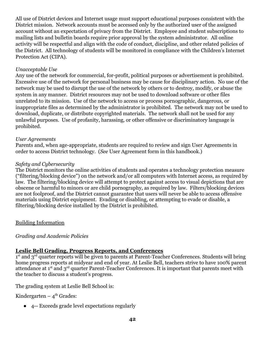All use of District devices and Internet usage must support educational purposes consistent with the District mission. Network accounts must be accessed only by the authorized user of the assigned account without an expectation of privacy from the District. Employee and student subscriptions to mailing lists and bulletin boards require prior approval by the system administrator. All online activity will be respectful and align with the code of conduct, discipline, and other related policies of the District. All technology of students will be monitored in compliance with the Children's Internet Protection Act (CIPA).

### *Unacceptable Use*

Any use of the network for commercial, for-profit, political purposes or advertisement is prohibited. Excessive use of the network for personal business may be cause for disciplinary action. No use of the network may be used to disrupt the use of the network by others or to destroy, modify, or abuse the system in any manner. District resources may not be used to download software or other files unrelated to its mission. Use of the network to access or process pornographic, dangerous, or inappropriate files as determined by the administrator is prohibited. The network may not be used to download, duplicate, or distribute copyrighted materials. The network shall not be used for any unlawful purposes. Use of profanity, harassing, or other offensive or discriminatory language is prohibited.

### *User Agreements*

Parents and, when age-appropriate, students are required to review and sign User Agreements in order to access District technology. (*See* User Agreement form in this handbook.)

### *Safety and Cybersecurity*

The District monitors the online activities of students and operates a technology protection measure ("filtering/blocking device") on the network and/or all computers with Internet access, as required by law. The filtering/blocking device will attempt to protect against access to visual depictions that are obscene or harmful to minors or are child pornography, as required by law. Filters/blocking devices are not foolproof, and the District cannot guarantee that users will never be able to access offensive materials using District equipment. Evading or disabling, or attempting to evade or disable, a filtering/blocking device installed by the District is prohibited.

## Building Information

## *Grading and Academic Policies*

## **Leslie Bell Grading, Progress Reports, and Conferences**

 $1<sup>st</sup>$  and  $3<sup>rd</sup>$  quarter reports will be given to parents at Parent-Teacher Conferences. Students will bring home progress reports at midyear and end of year. At Leslie Bell, teachers strive to have 100% parent attendance at 1<sup>st</sup> and 3<sup>rd</sup> quarter Parent-Teacher Conferences. It is important that parents meet with the teacher to discuss a student's progress.

The grading system at Leslie Bell School is:

Kindergarten –  $4^{\text{th}}$  Grades:

● 4-- Exceeds grade level expectations regularly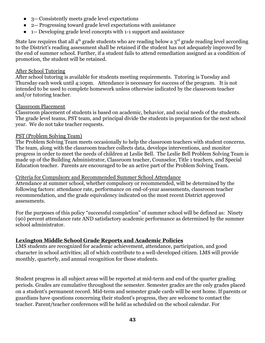- 3-- Consistently meets grade level expectations
- 2-- Progressing toward grade level expectations with assistance
- 1-- Developing grade level concepts with 1-1 support and assistance

State law requires that all  $4<sup>th</sup>$  grade students who are reading below a  $3<sup>rd</sup>$  grade reading level according to the District's reading assessment shall be retained if the student has not adequately improved by the end of summer school. Further, if a student fails to attend remediation assigned as a condition of promotion, the student will be retained.

### After School Tutoring

After school tutoring is available for students meeting requirements. Tutoring is Tuesday and Thursday each week until 4:10pm. Attendance is necessary for success of the program. It is not intended to be used to complete homework unless otherwise indicated by the classroom teacher and/or tutoring teacher.

### Classroom Placement

Classroom placement of students is based on academic, behavior, and social needs of the students. The grade level teams, PST team, and principal divide the students in preparation for the next school year. We do not take teacher requests.

### PST (Problem Solving Team)

The Problem Solving Team meets occasionally to help the classroom teachers with student concerns. The team, along with the classroom teacher collects data, develops interventions, and monitor progress in order to meet the needs of children at Leslie Bell. The Leslie Bell Problem Solving Team is made up of the Building Administrator, Classroom teacher, Counselor, Title 1 teachers, and Special Education teacher. Parents are encouraged to be an active part of the Problem Solving Team.

### Criteria for Compulsory and Recommended Summer School Attendance

Attendance at summer school, whether compulsory or recommended, will be determined by the following factors: attendance rate, performance on end-of-year assessments, classroom teacher recommendation, and the grade equivalency indicated on the most recent District approved assessments.

For the purposes of this policy "successful completion" of summer school will be defined as: Ninety (90) percent attendance rate AND satisfactory academic performance as determined by the summer school administrator.

## **Lexington Middle School Grade Reports and Academic Policies**

LMS students are recognized for academic achievement, attendance, participation, and good character in school activities; all of which contribute to a well-developed citizen. LMS will provide monthly, quarterly, and annual recognition for those students.

Student progress in all subject areas will be reported at mid-term and end of the quarter grading periods. Grades are cumulative throughout the semester. Semester grades are the only grades placed on a student's permanent record. Mid-term and semester grade cards will be sent home. If parents or guardians have questions concerning their student's progress, they are welcome to contact the teacher. Parent/teacher conferences will be held as scheduled on the school calendar. For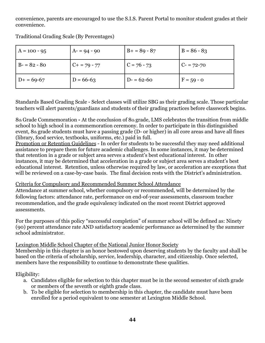convenience, parents are encouraged to use the S.I.S. Parent Portal to monitor student grades at their convenience.

| $A = 100 - 95$ | $A = 94 - 90$ | $B + 89 - 87$ | $B = 86 - 83$ |
|----------------|---------------|---------------|---------------|
| $B - 82 - 80$  | $C + 79 - 77$ | $C = 76 - 73$ | $C = 72 - 70$ |
| $D+ = 69-67$   | $D = 66-63$   | $D = 62-60$   | $F = 59 - 0$  |

Traditional Grading Scale (By Percentages)

Standards Based Grading Scale - Select classes will utilize SBG as their grading scale. Those particular teachers will alert parents/guardians and students of their grading practices before classwork begins.

8th Grade Commemoration **-** At the conclusion of 8th grade, LMS celebrates the transition from middle school to high school in a commemoration ceremony. In order to participate in this distinguished event, 8th grade students must have a passing grade (D- or higher) in all core areas and have all fines (library, food service, textbooks, uniforms, etc.) paid in full.

Promotion or Retention Guidelines - In order for students to be successful they may need additional assistance to prepare them for future academic challenges. In some instances, it may be determined that retention in a grade or subject area serves a student's best educational interest. In other instances, it may be determined that acceleration in a grade or subject area serves a student's best educational interest. Retention, unless otherwise required by law, or acceleration are exceptions that will be reviewed on a case-by-case basis. The final decision rests with the District's administration.

# Criteria for Compulsory and Recommended Summer School Attendance

Attendance at summer school, whether compulsory or recommended, will be determined by the following factors: attendance rate, performance on end-of-year assessments, classroom teacher recommendation, and the grade equivalency indicated on the most recent District approved assessments.

For the purposes of this policy "successful completion" of summer school will be defined as: Ninety (90) percent attendance rate AND satisfactory academic performance as determined by the summer school administrator.

# Lexington Middle School Chapter of the National Junior Honor Society

Membership in this chapter is an honor bestowed upon deserving students by the faculty and shall be based on the criteria of scholarship, service, leadership, character, and citizenship. Once selected, members have the responsibility to continue to demonstrate these qualities.

Eligibility:

- a. Candidates eligible for selection to this chapter must be in the second semester of sixth grade or members of the seventh or eighth grade class.
- b. To be eligible for selection to membership in this chapter, the candidate must have been enrolled for a period equivalent to one semester at Lexington Middle School.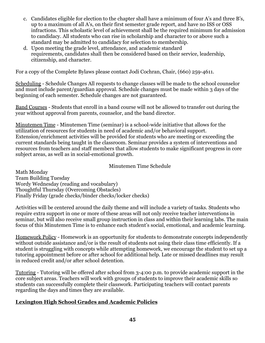- c. Candidates eligible for election to the chapter shall have a minimum of four A's and three B's, up to a maximum of all A's, on their first semester grade report, and have no ISS or OSS infractions. This scholastic level of achievement shall be the required minimum for admission to candidacy. All students who can rise in scholarship and character to or above such a standard may be admitted to candidacy for selection to membership.
- d. Upon meeting the grade level, attendance, and academic standard requirements, candidates shall then be considered based on their service, leadership, citizenship, and character.

For a copy of the Complete Bylaws please contact Jodi Cochran, Chair, (660) 259-4611.

Scheduling - Schedule Changes All requests to change classes will be made to the school counselor and must include parent/guardian approval. Schedule changes must be made within 3 days of the beginning of each semester. Schedule changes are not guaranteed.

Band Courses - Students that enroll in a band course will not be allowed to transfer out during the year without approval from parents, counselor, and the band director.

Minutemen Time - Minutemen Time (seminar) is a school-wide initiative that allows for the utilization of resources for students in need of academic and/or behavioral support. Extension/enrichment activities will be provided for students who are meeting or exceeding the current standards being taught in the classroom. Seminar provides a system of interventions and resources from teachers and staff members that allow students to make significant progress in core subject areas, as well as in social-emotional growth.

## Minutemen Time Schedule

Math Monday Team Building Tuesday Wordy Wednesday (reading and vocabulary) Thoughtful Thursday (Overcoming Obstacles) Finally Friday (grade checks/binder checks/locker checks)

Activities will be centered around the daily theme and will include a variety of tasks. Students who require extra support in one or more of these areas will not only receive teacher interventions in seminar, but will also receive small group instruction in class and within their learning labs. The main focus of this Minutemen Time is to enhance each student's social, emotional, and academic learning.

Homework Policy - Homework is an opportunity for students to demonstrate concepts independently without outside assistance and/or is the result of students not using their class time efficiently. If a student is struggling with concepts while attempting homework, we encourage the student to set up a tutoring appointment before or after school for additional help. Late or missed deadlines may result in reduced credit and/or after school detention.

Tutoring - Tutoring will be offered after school from 3-4:00 p.m. to provide academic support in the core subject areas. Teachers will work with groups of students to improve their academic skills so students can successfully complete their classwork. Participating teachers will contact parents regarding the days and times they are available.

# **Lexington High School Grades and Academic Policies**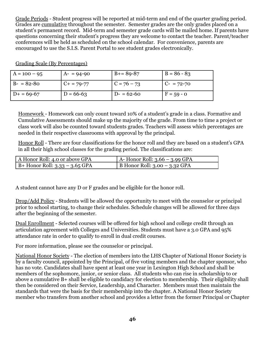Grade Periods - Student progress will be reported at mid-term and end of the quarter grading period. Grades are cumulative throughout the semester. Semester grades are the only grades placed on a student's permanent record. Mid-term and semester grade cards will be mailed home. If parents have questions concerning their student's progress they are welcome to contact the teacher. Parent/teacher conferences will be held as scheduled on the school calendar. For convenience, parents are encouraged to use the S.I.S. Parent Portal to see student grades electronically.

| $A = 100 - 95$ | $A = 94-90$     | $B+=89-87$    | $B = 86 - 83$ |
|----------------|-----------------|---------------|---------------|
| $B - 82 - 80$  | $C_{+}$ = 79-77 | $C = 76 - 73$ | $C- = 72-70$  |
| $D+ = 69-67$   | $D = 66-63$     | $D = 62-60$   | $F = 59 - 0$  |

Grading Scale (By Percentages)

Homework - Homework can only count toward 10% of a student's grade in a class. Formative and Cumulative Assessments should make up the majority of the grade. From time to time a project or class work will also be counted toward students grades. Teachers will assess which percentages are needed in their respective classrooms with approval by the principal.

Honor Roll - There are four classifications for the honor roll and they are based on a student's GPA in all their high school classes for the grading period. The classifications are:

| A Honor Roll: 4.0 or above GPA   | $A$ - Honor Roll: 3.66 – 3.99 GPA     |
|----------------------------------|---------------------------------------|
| $B+$ Honor Roll: 3.33 – 3.65 GPA | $\vert$ B Honor Roll: 3.00 – 3.32 GPA |

A student cannot have any D or F grades and be eligible for the honor roll.

Drop/Add Policy - Students will be allowed the opportunity to meet with the counselor or principal prior to school starting, to change their schedules. Schedule changes will be allowed for three days after the beginning of the semester.

Dual Enrollment - Selected courses will be offered for high school and college credit through an articulation agreement with Colleges and Universities. Students must have a 3.0 GPA and 95% attendance rate in order to qualify to enroll in dual credit courses.

For more information, please see the counselor or principal.

National Honor Society - The election of members into the LHS Chapter of National Honor Society is by a faculty council, appointed by the Principal, of five voting members and the chapter sponsor, who has no vote. Candidates shall have spent at least one year in Lexington High School and shall be members of the sophomore, junior, or senior class. All students who can rise in scholarship to or above a cumulative B+ shall be eligible to candidacy for election to membership. Their eligibility shall then be considered on their Service, Leadership, and Character. Members must then maintain the standards that were the basis for their membership into the chapter. A National Honor Society member who transfers from another school and provides a letter from the former Principal or Chapter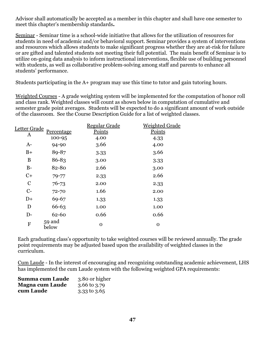Advisor shall automatically be accepted as a member in this chapter and shall have one semester to meet this chapter's membership standards**.**

Seminar - Seminar time is a school-wide initiative that allows for the utilization of resources for students in need of academic and/or behavioral support. Seminar provides a system of interventions and resources which allows students to make significant progress whether they are at-risk for failure or are gifted and talented students not meeting their full potential. The main benefit of Seminar is to utilize on-going data analysis to inform instructional interventions, flexible use of building personnel with students, as well as collaborative problem-solving among staff and parents to enhance all students' performance.

Students participating in the A+ program may use this time to tutor and gain tutoring hours.

Weighted Courses - A grade weighting system will be implemented for the computation of honor roll and class rank. Weighted classes will count as shown below in computation of cumulative and semester grade point averages. Students will be expected to do a significant amount of work outside of the classroom. See the Course Description Guide for a list of weighted classes.

| Letter Grade  |                 | <b>Regular Grade</b> | <b>Weighted Grade</b> |
|---------------|-----------------|----------------------|-----------------------|
| A             | Percentage      | Points               | Points                |
|               | 100-95          | 4.00                 | 4.33                  |
| $A-$          | 94-90           | 3.66                 | 4.00                  |
| $B+$          | 89-87           | 3.33                 | 3.66                  |
| B             | 86-83           | 3.00                 | 3.33                  |
| $B-$          | 82-80           | 2.66                 | 3.00                  |
| $C+$          | $79 - 77$       | 2.33                 | 2.66                  |
| $\mathcal{C}$ | $76 - 73$       | 2.00                 | 2.33                  |
| $C-$          | $72 - 70$       | 1.66                 | 2.00                  |
| $D+$          | 69-67           | 1.33                 | 1.33                  |
| D             | 66-63           | 1.00                 | 1.00                  |
| $D-$          | 62-60           | 0.66                 | 0.66                  |
| $\mathbf F$   | 59 and<br>below | $\Omega$             | $\Omega$              |

Each graduating class's opportunity to take weighted courses will be reviewed annually. The grade point requirements may be adjusted based upon the availability of weighted classes in the curriculum.

Cum Laude - In the interest of encouraging and recognizing outstanding academic achievement, LHS has implemented the cum Laude system with the following weighted GPA requirements:

| Summa cum Laude        | 3.80 or higher          |
|------------------------|-------------------------|
| <b>Magna cum Laude</b> | $3.66 \text{ to } 3.79$ |
| cum Laude              | $3.33$ to $3.65$        |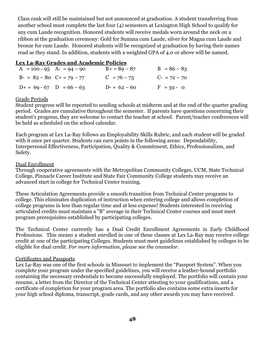Class rank will still be maintained but not announced at graduation. A student transferring from another school must complete the last four (4) semesters at Lexington High School to qualify for any cum Laude recognition. Honored students will receive medals worn around the neck on a ribbon at the graduation ceremony: Gold for Summa cum Laude, silver for Magna cum Laude and bronze for cum Laude. Honored students will be recognized at graduation by having their names read as they stand. In addition, students with a weighted GPA of 4.0 or above will be named.

### **Lex La-Ray Grades and Academic Policies**

| $A = 100 - 95$ $A = 94 - 90$  | $B+ = 89 - 87$ | $B = 86 - 83$  |
|-------------------------------|----------------|----------------|
| $B- = 82 - 80$ $C+ = 79 - 77$ | $C = 76 - 73$  | $C- = 72 - 70$ |
| $D+ = 69 - 67$ $D = 66 - 63$  | $D = 62 - 60$  | $F = 59 - 0$   |

### Grade Periods

Student progress will be reported to sending schools at midterm and at the end of the quarter grading period. Grades are cumulative throughout the semester. If parents have questions concerning their student's progress, they are welcome to contact the teacher at school. Parent/teacher conferences will be held as scheduled on the school calendar.

Each program at Lex La-Ray follows an Employability Skills Rubric, and each student will be graded with it once per quarter. Students can earn points in the following areas: Dependability, Interpersonal Effectiveness, Participation, Quality & Commitment, Ethics, Professionalism, and Safety.

### Dual Enrollment

Through cooperative agreements with the Metropolitan Community Colleges, UCM, State Technical College, Pinnacle Career Institute and State Fair Community College students may receive an advanced start in college for Technical Center training.

These Articulation Agreements provide a smooth transition from Technical Center programs to college. This eliminates duplication of instruction when entering college and allows completion of college programs in less than regular time and at less expense! Students interested in receiving articulated credits must maintain a "B" average in their Technical Center courses and must meet program prerequisites established by participating colleges.

The Technical Center currently has a Dual Credit Enrollment Agreements in Early Childhood Professions. This means a student enrolled in one of these classes at Lex La-Ray may receive college credit at one of the participating Colleges. Students must meet guidelines established by colleges to be eligible for dual credit. *For more information, please see the counselor.*

### Certificates and Passports

Lex La-Ray was one of the first schools in Missouri to implement the "Passport System". When you complete your program under the specified guidelines, you will receive a leather-bound portfolio containing the necessary credentials to become successfully employed. The portfolio will contain your resume, a letter from the Director of the Technical Center attesting to your qualifications, and a certificate of completion for your program area. The portfolio also contains some extra inserts for your high school diploma, transcript, grade cards, and any other awards you may have received.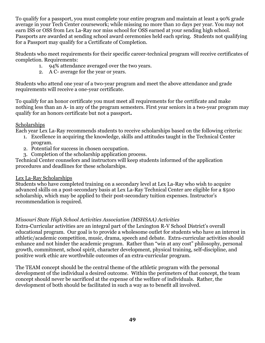To qualify for a passport, you must complete your entire program and maintain at least a 90% grade average in your Tech Center coursework; while missing no more than 10 days per year. You may not earn ISS or OSS from Lex La-Ray nor miss school for OSS earned at your sending high school. Passports are awarded at sending school award ceremonies held each spring. Students not qualifying for a Passport may qualify for a Certificate of Completion.

Students who meet requirements for their specific career-technical program will receive certificates of completion. Requirements:

- 1. 94% attendance averaged over the two years.
- 2. A C- average for the year or years.

Students who attend one year of a two-year program and meet the above attendance and grade requirements will receive a one-year certificate.

To qualify for an honor certificate you must meet all requirements for the certificate and make nothing less than an A- in any of the program semesters. First year seniors in a two-year program may qualify for an honors certificate but not a passport**.**

## **Scholarships**

Each year Lex La-Ray recommends students to receive scholarships based on the following criteria:

- 1. Excellence in acquiring the knowledge, skills and attitudes taught in the Technical Center program.
- 2. Potential for success in chosen occupation.
- 3. Completion of the scholarship application process.

Technical Center counselors and instructors will keep students informed of the application procedures and deadlines for these scholarships.

# Lex La-Ray Scholarships

Students who have completed training on a secondary level at Lex La-Ray who wish to acquire advanced skills on a post-secondary basis at Lex La-Ray Technical Center are eligible for a \$500 scholarship, which may be applied to their post-secondary tuition expenses. Instructor's recommendation is required.

# *Missouri State High School Activities Association (MSHSAA) Activities*

Extra-Curricular activities are an integral part of the Lexington R-V School District's overall educational program. Our goal is to provide a wholesome outlet for students who have an interest in athletic/academic competition, music, drama, speech and debate. Extra-curricular activities should enhance and not hinder the academic program. Rather than "win at any cost" philosophy, personal growth, commitment, school spirit, character development, physical training, self-discipline, and positive work ethic are worthwhile outcomes of an extra-curricular program.

The TEAM concept should be the central theme of the athletic program with the personal development of the individual a desired outcome. Within the perimeters of that concept, the team concept should never be sacrificed at the expense of the welfare of individuals. Rather, the development of both should be facilitated in such a way as to benefit all involved.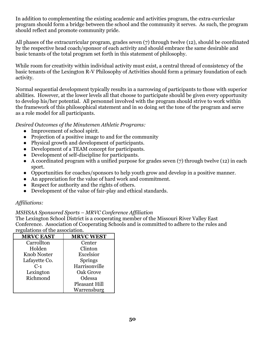In addition to complementing the existing academic and activities program, the extra-curricular program should form a bridge between the school and the community it serves. As such, the program should reflect and promote community pride.

All phases of the extracurricular program, grades seven (7) through twelve (12), should be coordinated by the respective head coach/sponsor of each activity and should embrace the same desirable and basic tenants of the total program set forth in this statement of philosophy.

While room for creativity within individual activity must exist, a central thread of consistency of the basic tenants of the Lexington R-V Philosophy of Activities should form a primary foundation of each activity.

Normal sequential development typically results in a narrowing of participants to those with superior abilities. However, at the lower levels all that choose to participate should be given every opportunity to develop his/her potential. All personnel involved with the program should strive to work within the framework of this philosophical statement and in so doing set the tone of the program and serve as a role model for all participants.

*Desired Outcomes of the Minutemen Athletic Programs:*

- Improvement of school spirit.
- Projection of a positive image to and for the community
- Physical growth and development of participants.
- Development of a TEAM concept for participants.
- Development of self-discipline for participants.
- $\bullet$  A coordinated program with a unified purpose for grades seven (7) through twelve (12) in each sport.
- Opportunities for coaches/sponsors to help youth grow and develop in a positive manner.
- An appreciation for the value of hard work and commitment.
- Respect for authority and the rights of others.
- Development of the value of fair-play and ethical standards.

# *Affiliations:*

## *MSHSAA Sponsored Sports – MRVC Conference Affiliation*

The Lexington School District is a cooperating member of the Missouri River Valley East Conference. Association of Cooperating Schools and is committed to adhere to the rules and regulations of the association.

| <b>MRVC EAST</b>   | <b>MRVC WEST</b> |
|--------------------|------------------|
| Carrollton         | Center           |
| Holden             | Clinton          |
| <b>Knob Noster</b> | Excelsior        |
| Lafayette Co.      | Springs          |
| $C-1$              | Harrisonville    |
| Lexington          | Oak Grove        |
| Richmond           | Odessa           |
|                    | Pleasant Hill    |
|                    | Warrensburg      |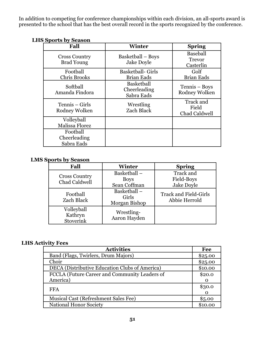In addition to competing for conference championships within each division, an all-sports award is presented to the school that has the best overall record in the sports recognized by the conference.

| Fall                                      | <b>Winter</b>                                 | <b>Spring</b>                                 |
|-------------------------------------------|-----------------------------------------------|-----------------------------------------------|
| <b>Cross Country</b><br><b>Brad Young</b> | Basketball – Boys<br><b>Jake Doyle</b>        | <b>Baseball</b><br><b>Trevor</b><br>Casterlin |
| Football<br><b>Chris Brooks</b>           | <b>Basketball- Girls</b><br><b>Brian Eads</b> | Golf<br><b>Brian Eads</b>                     |
| Softball<br>Amanda Findora                | Basketball<br>Cheerleading<br>Sabra Eads      | Tennis – Boys<br>Rodney Wolken                |
| Tennis – Girls<br>Rodney Wolken           | Wrestling<br><b>Zach Black</b>                | Track and<br>Field<br>Chad Caldwell           |
| Volleyball<br><b>Malissa Florez</b>       |                                               |                                               |
| Football<br>Cheerleading<br>Sabra Eads    |                                               |                                               |

# **LHS Sports by Season**

# **LMS Sports by Season**

| Fall                                  | <b>Winter</b>                              | <b>Spring</b>                                 |
|---------------------------------------|--------------------------------------------|-----------------------------------------------|
| <b>Cross Country</b><br>Chad Caldwell | Basketball-<br><b>Boys</b><br>Sean Coffman | Track and<br>Field-Boys<br>Jake Doyle         |
| Football<br>Zach Black                | Basketball-<br>Girls<br>Morgan Bishop      | <b>Track and Field-Girls</b><br>Abbie Herrold |
| Volleyball<br>Kathryn<br>Stoverink    | Wrestling-<br>Aaron Hayden                 |                                               |

# **LHS Activity Fees**

| <b>Activities</b>                              | Fee      |
|------------------------------------------------|----------|
| Band (Flags, Twirlers, Drum Majors)            | \$25.00  |
| Choir                                          | \$25.00  |
| DECA (Distributive Education Clubs of America) | \$10.00  |
| FCCLA (Future Career and Community Leaders of  | \$20.0   |
| America)                                       |          |
| <b>FFA</b>                                     | \$30.0   |
|                                                | $\Omega$ |
| <b>Musical Cast (Refreshment Sales Fee)</b>    | \$5.00   |
| <b>National Honor Society</b>                  | \$10.00  |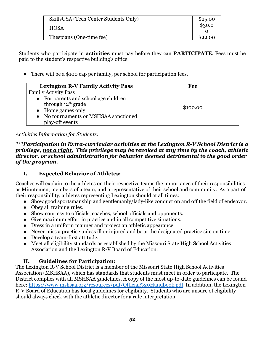| SkillsUSA (Tech Center Students Only) | \$25.00 |
|---------------------------------------|---------|
| <b>HOSA</b>                           | \$30.0  |
|                                       |         |
| Thespians (One-time fee)              | \$22.00 |

Students who participate in **activities** must pay before they can **PARTICIPATE**. Fees must be paid to the student's respective building's office.

There will be a \$100 cap per family, per school for participation fees.

| <b>Lexington R-V Family Activity Pass</b> | Fee      |
|-------------------------------------------|----------|
| <b>Family Activity Pass</b>               |          |
| • For parents and school age children     |          |
| through 12 <sup>th</sup> grade            | \$100.00 |
| • Home games only                         |          |
| • No tournaments or MSHSAA sanctioned     |          |
| play-off events                           |          |

## *Activities Information for Students:*

*\*\*\*Participation in Extra-curricular activities at the Lexington R-V School District is a privilege, not a right. This privilege may be revoked at any time by the coach, athletic director, or school administration for behavior deemed detrimental to the good order of the program.*

# **I. Expected Behavior of Athletes:**

Coaches will explain to the athletes on their respective teams the importance of their responsibilities as Minutemen, members of a team, and a representative of their school and community. As a part of their responsibility, athletes representing Lexington should at all times:

- Show good sportsmanship and gentlemanly/lady-like conduct on and off the field of endeavor.
- Obey all training rules.
- Show courtesy to officials, coaches, school officials and opponents.
- Give maximum effort in practice and in all competitive situations.
- Dress in a uniform manner and project an athletic appearance.
- Never miss a practice unless ill or injured and be at the designated practice site on time.
- Develop a team-first attitude.
- Meet all eligibility standards as established by the Missouri State High School Activities Association and the Lexington R-V Board of Education.

# **II. Guidelines for Participation:**

The Lexington R-V School District is a member of the Missouri State High School Activities Association (MSHSAA), which has standards that students must meet in order to participate. The District complies with all MSHSAA guidelines. A copy of the most up-to-date guidelines can be found here: <https://www.mshsaa.org/resources/pdf/Official%20Handbook.pdf>. In addition, the Lexington R-V Board of Education has local guidelines for eligibility. Students who are unsure of eligibility should always check with the athletic director for a rule interpretation.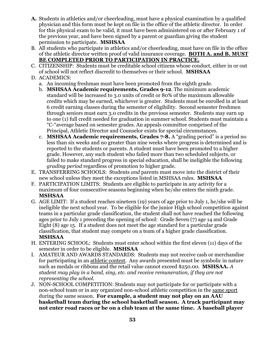- **A.** Students in athletics and/or cheerleading, must have a physical examination by a qualified physician and this form must be kept on file in the office of the athletic director. In order for this physical exam to be valid, it must have been administered on or after February 1 of the previous year, and have been signed by a parent or guardian giving the student permission to participate. **MSHSAA**
- B. All students who participate in athletics and/or cheerleading, must have on file in the office of the athletic director written proof of valid insurance coverage. **BOTH A. and B. MUST BE COMPLETED PRIOR TO PARTICIPATION IN PRACTICE.**
- C. CITIZENSHIP: Students must be creditable school citizens whose conduct, either in or out of school will not reflect discredit to themselves or their school. **MSHSAA**
- D. ACADEMICS:
	- a. An incoming freshman must have been promoted from the eighth grade.
	- b. **MSHSAA Academic requirements, Grades 9-12**. The minimum academic standard will be increased to 3.0 units of credit or 80% of the maximum allowable credits which may be earned, whichever is greater. Students must be enrolled in at least 6 credit earning classes during the semester of eligibility. Second semester freshmen through seniors must earn 3.0 credits in the previous semester. Students may earn up to one (1) full credit needed for graduation in summer school. Students must maintain a "C-"average based on semester grades. An appeals committee comprised of the Principal, Athletic Director and Counselor exists for special circumstances.
	- c. **MSHSAA Academic requirements, Grades 7-8.** A "grading period" is a period no less than six weeks and no greater than nine weeks where progress is determined and is reported to the students or parents. A student must have been promoted to a higher grade. However, any such student who failed more than two scheduled subjects, or failed to make standard progress in special education, shall be ineligible the following *grading period* regardless of promotion to higher grade.
- E. TRANSFERRING SCHOOLS: Students *and* parents must move into the district of their new school unless they meet the exceptions listed in MSHSAA rules. **MSHSAA**
- F. PARTICIPATION LIMITS: Students are eligible to participate in any activity for a maximum of four consecutive seasons beginning when he/she enters the ninth grade. **MSHSAA**
- G. AGE LIMIT: If a student reaches nineteen (19) years of age prior to July 1, he/she will be ineligible the next school year. To be eligible for the junior High school competition against teams in a particular grade classification, the student shall not have reached the following ages prior to July 1 preceding the opening of school: Grade Seven (7) age 14 and Grade Eight (8) age 15. If a student does not meet the age standard for a particular grade classification, that student may compete on a team of a higher grade classification. **MSHSAA**
- H. ENTERING SCHOOL: Students must enter school within the first eleven (11) days of the semester in order to be eligible. **MSHSAA**
- I. AMATEUR AND AWARDS STANDARDS: Students may not receive cash or merchandise for participating in an athletic contest. Any awards presented must be symbolic in nature such as medals or ribbons and the retail value cannot exceed \$250.00. **MSHSAA.** *A student may play in a band, sing, etc. and receive remuneration, if they are not representing the school.*
- J. NON-SCHOOL COMPETITION: Students may not participate for or participate with a non-school team or in any organized non-school athletic competition in the same sport during the same season. **For example, a student may not play on an AAU basketball team during the school basketball season. A track participant may not enter road races or be on a club team at the same time. A baseball player**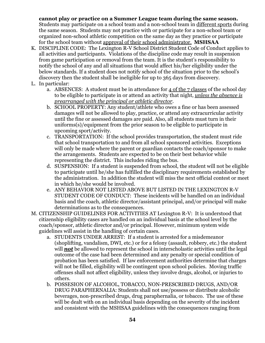## **cannot play or practice on a Summer League team during the same season.**

Students may participate on a school team and a non-school team in different sports during the same season. Students may not practice with or participate for a non-school team or organized non-school athletic competition on the same day as they practice or participate for the school team without approval of their school administrator. **MSHSAA**

- K. DISCIPLINE CODE: The Lexington R-V School District Student Code of Conduct applies to all activities and participants. Violations of the discipline code may result in suspension from game participation or removal from the team. It is the student's responsibility to notify the school of any and all situations that would affect his/her eligibility under the below standards. If a student does not notify school of the situation prior to the school's discovery then the student shall be ineligible for up to 365 days from discovery.
- L. In particular:
	- a. ABSENCES: A student must be in attendance for  $\Delta$  of the 7 classes of the school day to be eligible to participate in or attend an activity that night, *unless the absence is prearranged with the principal or athletic director*.
	- b. SCHOOL PROPERTY: Any student/athlete who owes a fine or has been assessed damages will not be allowed to play, practice, or attend any extracurricular activity until the fine or assessed damages are paid. Also, all students must turn in their uniforms(s)/equipment from the prior season to be eligible to participate in upcoming sport/activity.
	- c. TRANSPORTATION: If the school provides transportation, the student must ride that school transportation to and from all school sponsored activities. Exceptions will only be made where the parent or guardian contacts the coach/sponsor to make the arrangements. Students are expected to be on their best behavior while representing the district. This includes riding the bus.
	- d. SUSPENSION: If a student is suspended from school, the student will not be eligible to participate until he/she has fulfilled the disciplinary requirements established by the administration. In addition the student will miss the next official contest or meet in which he/she would be involved.
	- e. ANY BEHAVIOR NOT LISTED ABOVE BUT LISTED IN THE LEXINGTON R-V STUDENT CODE OF CONDUCT: These incidents will be handled on an individual basis and the coach, athletic director/assistant principal, and/or principal will make determinations as to the consequences.
- M. CITIZENSHIP GUIDELINES FOR ACTIVITIES AT Lexington R-V: It is understood that citizenship eligibility cases are handled on an individual basis at the school level by the coach/sponsor, athletic director and/or principal. However, minimum system wide guidelines will assist in the handling of certain cases.
	- a. STUDENTS UNDER ARREST: If a student is arrested for a misdemeanor (shoplifting, vandalism, DWI, etc.) or for a felony (assault, robbery, etc.) the student will **not** be allowed to represent the school in interscholastic activities until the legal outcome of the case had been determined and any penalty or special condition of probation has been satisfied. If law enforcement authorities determine that charges will not be filled, eligibility will be contingent upon school policies. Moving traffic offenses shall not affect eligibility, unless they involve drugs, alcohol, or injuries to others.
	- b. POSSESION OF ALCOHOL, TOBACCO, NON-PRESCRIBED DRUGS, AND/OR DRUG PARAPHERNALIA: Students shall not use/possess or distribute alcoholic beverages, non-prescribed drugs, drug paraphernalia, or tobacco. The use of these will be dealt with on an individual basis depending on the severity of the incident and consistent with the MSHSAA guidelines with the consequences ranging from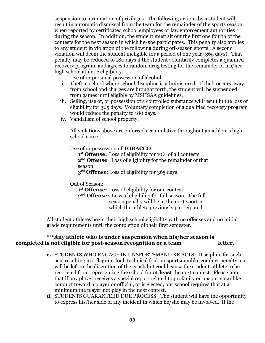suspension to termination of privileges. The following actions by a student will result in automatic dismissal from the team for the remainder of the sports season, when reported by certificated school employees or law enforcement authorities during the season. In addition, the student must sit out the first one fourth of the contests for the next season in which he/she participates. This penalty also applies to any student in violation of the following during off-season sports. A second violation will deem the student ineligible for a period of one year (365 days). That penalty may be reduced to 180 days if the student voluntarily completes a qualified recovery program, and agrees to random drug testing for the remainder of his/her high school athletic eligibility.

- i. Use of or personal possession of alcohol.
- ii. Theft at school where school discipline is administered. If theft occurs away from school and charges are brought forth, the student will be suspended from games until eligible by MSHSAA guidelines.
- iii. Selling, use of, or possession of a controlled substance will result in the loss of eligibility for 365 days. Voluntary completion of a qualified recovery program would reduce the penalty to 180 days.
- iv. Vandalism of school property.

All violations above are enforced accumulative throughout an athlete's high school career.

Use of or possession of **TOBACCO**:

**1 st Offense:** Loss of eligibility for 10% of all contests. **2 nd Offense**: Loss of eligibility for the remainder of that season.

**3 rd Offense**:Loss of eligibility for 365 days.

Out of Season:

**1 st Offense:** Loss of eligibility for one contest.

**2 nd Offense:** Loss of eligibility for full season. The full season penalty will be in the next sport in which the athlete previously participated.

All student athletes begin their high school eligibility with no offenses and no initial grade requirements until the completion of their first semester.

### **\*\*\*Any athlete who is under suspension when his/her season is completed is not eligible for post-season recognition or a team letter.**

- **c.** STUDENTS WHO ENGAGE IN UNSPORTSMANLIKE ACTS: Discipline for such acts resulting in a flagrant foul, technical foul, unsportsmanlike conduct penalty, etc. will be left to the discretion of the coach but could cause the student-athlete to be restricted from representing the school for **at least** the next contest. Please note that if any player receives a special report related to profanity or unsportsmanlike conduct toward a player or official, or is ejected, our school requires that at a minimum the player not play in the next contest.
- **d.** STUDENTS GUARANTEED DUE PROCESS: The student will have the opportunity to express his/her side of any incident in which he/she may be involved. If the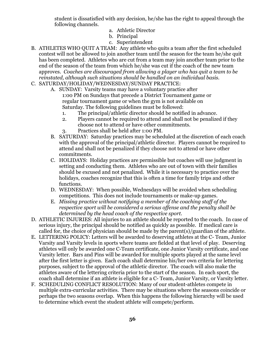student is dissatisfied with any decision, he/she has the right to appeal through the following channels.

- a. Athletic Director
- b. Principal
- c. Superintendent
- B. ATHLETES WHO QUIT A TEAM: Any athlete who quits a team after the first scheduled contest will not be allowed to join another team until the season for the team he/she quit has been completed. Athletes who are cut from a team may join another team prior to the end of the season of the team from which he/she was cut if the coach of the new team approves. *Coaches are discouraged from allowing a player who has quit a team to be reinstated, although such situations should be handled on an individual basis.*
- C. SATURDAY/HOLIDAY/WEDNESDAY/SUNDAY PRACTICE:
	- A. SUNDAY: Varsity teams may have a voluntary practice after 1:00 PM on Sundays that precede a District Tournament game or regular tournament game or when the gym is not available on Saturday. The following guidelines must be followed:
		- 1. The principal/athletic director should be notified in advance.
		- 2. Players cannot be required to attend and shall not be penalized if they choose not to attend or have other commitments.
		- 3. Practices shall be held after 1:00 PM.
	- B. SATURDAY: Saturday practices may be scheduled at the discretion of each coach with the approval of the principal/athletic director. Players cannot be required to attend and shall not be penalized if they choose not to attend or have other commitments.
	- C. HOLIDAYS: Holiday practices are permissible but coaches will use judgment in setting and conducting them. Athletes who are out of town with their families should be excused and not penalized. While it is necessary to practice over the holidays, coaches recognize that this is often a time for family trips and other functions.
	- D. WEDNESDAY: When possible, Wednesdays will be avoided when scheduling competitions. This does not include tournaments or make-up games.
	- E. *Missing practice without notifying a member of the coaching staff of the respective sport will be considered a serious offense and the penalty shall be determined by the head coach of the respective sport.*
- D. ATHLETIC INJURIES: All injuries to an athlete should be reported to the coach. In case of serious injury, the principal should be notified as quickly as possible. If medical care is called for, the choice of physician should be made by the parent(s)/guardian of the athlete.
- E. LETTERING POLICY: Letters will be awarded to deserving athletes at the C- Team, Junior Varsity and Varsity levels in sports where teams are fielded at that level of play. Deserving athletes will only be awarded one C-Team certificate, one Junior Varsity certificate, and one Varsity letter. Bars and Pins will be awarded for multiple sports played at the same level after the first letter is given. Each coach shall determine his/her own criteria for lettering purposes, subject to the approval of the athletic director. The coach will also make the athletes aware of the lettering criteria prior to the start of the season. In each sport, the coach shall determine if an athlete is eligible for a C- Team, Junior Varsity, or Varsity letter.
- F. SCHEDULING CONFLICT RESOLUTION: Many of our student-athletes compete in multiple extra-curricular activities. There may be situations where the seasons coincide or perhaps the two seasons overlap. When this happens the following hierarchy will be used to determine which event the student athlete will compete/perform.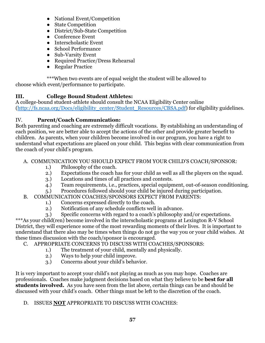- National Event/Competition
- State Competition
- District/Sub-State Competition
- Conference Event
- Interscholastic Event
- School Performance
- Sub-Varsity Event
- Required Practice/Dress Rehearsal
- Regular Practice

\*\*\*When two events are of equal weight the student will be allowed to choose which event/performance to participate.

# **III. College Bound Student Athletes:**

A college-bound student-athlete should consult the NCAA Eligibility Center online [\(http://fs.ncaa.org/Docs/eligibility\\_center/Student\\_Resources/CBSA.pdf](http://fs.ncaa.org/Docs/eligibility_center/Student_Resources/CBSA.pdf)) for eligibility guidelines.

# IV. **Parent/Coach Communication:**

Both parenting and coaching are extremely difficult vocations. By establishing an understanding of each position, we are better able to accept the actions of the other and provide greater benefit to children. As parents, when your children become involved in our program, you have a right to understand what expectations are placed on your child. This begins with clear communication from the coach of your child's program.

# A. COMMUNICATION YOU SHOULD EXPECT FROM YOUR CHILD'S COACH/SPONSOR:

- 1.) Philosophy of the coach.
- 2.) Expectations the coach has for your child as well as all the players on the squad.
- 3.) Locations and times of all practices and contests.
- 4.) Team requirements, i.e., practices, special equipment, out-of-season conditioning.
- 5.) Procedures followed should your child be injured during participation.

# B. COMMUNICATION COACHES/SPONSORS EXPECT FROM PARENTS:

- 1.) Concerns expressed directly to the coach.
- 2.) Notification of any schedule conflicts well in advance.
- 3.) Specific concerns with regard to a coach's philosophy and/or expectations.

\*\*\*As your child(ren) become involved in the interscholastic programs at Lexington R-V School District, they will experience some of the most rewarding moments of their lives. It is important to understand that there also may be times when things do not go the way you or your child wishes. At these times discussion with the coach/sponsor is encouraged.

- C. APPROPRIATE CONCERNS TO DISCUSS WITH COACHES/SPONSORS:
	- 1.) The treatment of your child, mentally and physically.
	- 2.) Ways to help your child improve.
	- 3.) Concerns about your child's behavior.

It is very important to accept your child's not playing as much as you may hope. Coaches are professionals. Coaches make judgment decisions based on what they believe to be **best for all students involved.** As you have seen from the list above, certain things can be and should be discussed with your child's coach. Other things must be left to the discretion of the coach.

# D. ISSUES **NOT** APPROPRIATE TO DISCUSS WITH COACHES: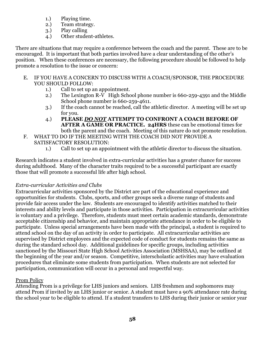- 1.) Playing time.
- 2.) Team strategy.
- 3.) Play calling
- 4.) Other student-athletes.

There are situations that may require a conference between the coach and the parent. These are to be encouraged. It is important that both parties involved have a clear understanding of the other's position. When these conferences are necessary, the following procedure should be followed to help promote a resolution to the issue or concern:

- E. IF YOU HAVE A CONCERN TO DISCUSS WITH A COACH/SPONSOR, THE PROCEDURE YOU SHOULD FOLLOW:
	- 1.) Call to set up an appointment.
	- 2.) The Lexington R-V High School phone number is 660-259-4391 and the Middle School phone number is 660-259-4611.
	- 3.) If the coach cannot be reached, call the athletic director. A meeting will be set up for you.
	- 4.) **PLEASE** *DO NOT* **ATTEMPT TO CONFRONT A COACH BEFORE OF AFTER A GAME OR PRACTICE. 24HRS** these can be emotional times for both the parent and the coach. Meeting of this nature do not promote resolution.
- F. WHAT TO DO IF THE MEETING WITH THE COACH DID NOT PROVIDE A SATISFACTORY RESOLUTION:
	- 1.) Call to set up an appointment with the athletic director to discuss the situation.

Research indicates a student involved in extra-curricular activities has a greater chance for success during adulthood. Many of the character traits required to be a successful participant are exactly those that will promote a successful life after high school.

# *Extra-curricular Activities and Clubs*

Extracurricular activities sponsored by the District are part of the educational experience and opportunities for students. Clubs, sports, and other groups seek a diverse range of students and provide fair access under the law. Students are encouraged to identify activities matched to their interests and ability levels and participate in those activities. Participation in extracurricular activities is voluntary and a privilege. Therefore, students must meet certain academic standards, demonstrate acceptable citizenship and behavior, and maintain appropriate attendance in order to be eligible to participate. Unless special arrangements have been made with the principal, a student is required to attend school on the day of an activity in order to participate. All extracurricular activities are supervised by District employees and the expected code of conduct for students remains the same as during the standard school day. Additional guidelines for specific groups, including activities sanctioned by the Missouri State High School Activities Association (MSHSAA), may be outlined at the beginning of the year and/or season. Competitive, interscholastic activities may have evaluation procedures that eliminate some students from participation. When students are not selected for participation, communication will occur in a personal and respectful way.

# Prom Policy

Attending Prom is a privilege for LHS juniors and seniors. LHS freshmen and sophomores may attend Prom if invited by an LHS junior or senior. A student must have a 90% attendance rate during the school year to be eligible to attend. If a student transfers to LHS during their junior or senior year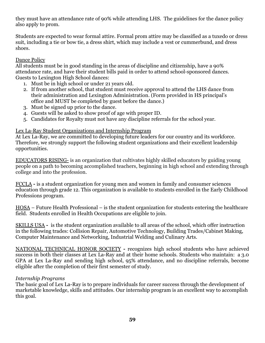they must have an attendance rate of 90% while attending LHS. The guidelines for the dance policy also apply to prom.

Students are expected to wear formal attire. Formal prom attire may be classified as a tuxedo or dress suit, including a tie or bow tie, a dress shirt, which may include a vest or cummerbund, and dress shoes.

## Dance Policy

All students must be in good standing in the areas of discipline and citizenship, have a 90% attendance rate, and have their student bills paid in order to attend school-sponsored dances. Guests to Lexington High School dances:

- 1. Must be in high school or under 21 years old.
- 2. If from another school, that student must receive approval to attend the LHS dance from their administration and Lexington Administration. (Form provided in HS principal's office and MUST be completed by guest before the dance.)
- 3. Must be signed up prior to the dance.
- 4. Guests will be asked to show proof of age with proper ID.
- 5. Candidates for Royalty must not have any discipline referrals for the school year.

### Lex La-Ray Student Organizations and Internship Program

At Lex La-Ray, we are committed to developing future leaders for our country and its workforce. Therefore, we strongly support the following student organizations and their excellent leadership opportunities.

EDUCATORS RISING- is an organization that cultivates highly skilled educators by guiding young people on a path to becoming accomplished teachers, beginning in high school and extending through college and into the profession.

FCCLA **-** is a student organization for young men and women in family and consumer sciences education through grade 12. This organization is available to students enrolled in the Early Childhood Professions program.

HOSA – Future Health Professional – is the student organization for students entering the healthcare field. Students enrolled in Health Occupations are eligible to join.

SKILLS USA **-** is the student organization available to all areas of the school, which offer instruction in the following trades: Collision Repair, Automotive Technology, Building Trades/Cabinet Making, Computer Maintenance and Networking, Industrial Welding and Culinary Arts.

NATIONAL TECHNICAL HONOR SOCIETY **-** recognizes high school students who have achieved success in both their classes at Lex La-Ray and at their home schools. Students who maintain: a 3.0 GPA at Lex La-Ray and sending high school, 95% attendance, and no discipline referrals, become eligible after the completion of their first semester of study.

### *Internship Programs*

The basic goal of Lex La-Ray is to prepare individuals for career success through the development of marketable knowledge, skills and attitudes. Our internship program is an excellent way to accomplish this goal.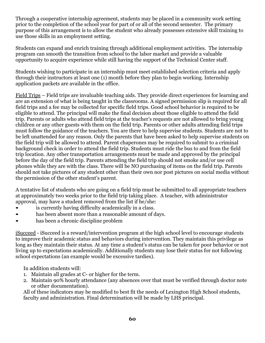Through a cooperative internship agreement, students may be placed in a community work setting prior to the completion of the school year for part of or all of the second semester. The primary purpose of this arrangement is to allow the student who already possesses extensive skill training to use those skills in an employment setting.

Students can expand and enrich training through additional employment activities. The internship program can smooth the transition from school to the labor market and provide a valuable opportunity to acquire experience while still having the support of the Technical Center staff.

Students wishing to participate in an internship must meet established selection criteria and apply through their instructors at least one (1) month before they plan to begin working. Internship application packets are available in the office.

Field Trips – Field trips are invaluable teaching aids. They provide direct experiences for learning and are an extension of what is being taught in the classrooms. A signed permission slip is required for all field trips and a fee may be collected for specific field trips. Good school behavior is required to be eligible to attend. The principal will make the final decision about those eligible to attend the field trip. Parents or adults who attend field trips at the teacher's requests are not allowed to bring young children or any other guests with them on the field trip. Parents or other adults attending field trips must follow the guidance of the teachers. You are there to help supervise students. Students are not to be left unattended for any reason. Only the parents that have been asked to help supervise students on the field trip will be allowed to attend. Parent chaperones may be required to submit to a criminal background check in order to attend the field trip. Students must ride the bus to and from the field trip location. Any other transportation arrangements must be made and approved by the principal before the day of the field trip. Parents attending the field trip should not smoke and/or use cell phones while they are with the class. There will be NO purchasing of items on the field trip. Parents should not take pictures of any student other than their own nor post pictures on social media without the permission of the other student's parent.

A tentative list of students who are going on a field trip must be submitted to all appropriate teachers at approximately two weeks prior to the field trip taking place. A teacher, with administrator approval, may have a student removed from the list if he/she:

- is currently having difficulty academically in a class.
- has been absent more than a reasonable amount of days.
- has been a chronic discipline problem

iSucceed - iSucceed is a reward/intervention program at the high school level to encourage students to improve their academic status and behaviors during intervention. They maintain this privilege as long as they maintain their status. At any time a student's status can be taken for poor behavior or not living up to expectations academically. Additionally students may lose their status for not following school expectations (an example would be excessive tardies).

In addition students will:

- 1. Maintain all grades at C- or higher for the term.
- 2. Maintain 90% hourly attendance (any absences over that must be verified through doctor note or other documentation).

All of these indicators may be modified to best fit the needs of Lexington High School students, faculty and administration. Final determination will be made by LHS principal.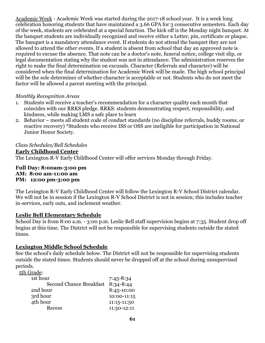Academic Week - Academic Week was started during the 2017-18 school year. It is a week long celebration honoring students that have maintained a 3.66 GPA for 3 consecutive semesters. Each day of the week, students are celebrated at a special function. The kick off is the Monday night banquet. At the banquet students are individually recognized and receive either a Letter, pin, certificate or plaque. The banquet is a mandatory attendance event. If students do not attend the banquet they are not allowed to attend the other events. If a student is absent from school that day an approved note is required to excuse the absence. That note can be a doctor's note, funeral notice, college visit slip, or legal documentation stating why the student was not in attendance. The administration reserves the right to make the final determination on excusals. Character (Referrals and character) will be considered when the final determination for Academic Week will be made. The high school principal will be the sole determiner of whether character is acceptable or not. Students who do not meet the factor will be allowed a parent meeting with the principal.

### *Monthly Recognition Areas*

- 1. Students will receive a teacher's recommendation for a character quality each month that coincides with our RRKS pledge. RRKS: students demonstrating respect, responsibility, and kindness, while making LMS a safe place to learn
- 2. Behavior meets all student code of conduct standards (no discipline referrals, buddy rooms, or reactive recovery) \*Students who receive ISS or OSS are ineligible for participation in National Junior Honor Society.

*Class Schedules/Bell Schedules* **Early Childhood Center** The Lexington R-V Early Childhood Center will offer services Monday through Friday.

#### **Full Day: 8:00am-3:00 pm AM: 8:00 am-11:00 am PM: 12:00 pm-3:00 pm**

The Lexington R-V Early Childhood Center will follow the Lexington R-V School District calendar. We will not be in session if the Lexington R-V School District is not in session; this includes teacher in-services, early outs, and inclement weather.

## **Leslie Bell Elementary Schedule**

School Day is from 8:00 a.m. - 3:00 p.m. Leslie Bell staff supervision begins at 7:35. Student drop off begins at this time. The District will not be responsible for supervising students outside the stated times.

## **Lexington Middle School Schedule**

See the school's daily schedule below. The District will not be responsible for supervising students outside the stated times. Students should never be dropped off at the school during unsupervised periods.

5th Grade:

| 1st hour                       | $7:45 - 8:34$ |
|--------------------------------|---------------|
| <b>Second Chance Breakfast</b> | 8:34-8:44     |
| 2nd hour                       | 8:45-10:00    |
| 3rd hour                       | 10:00-11:15   |
| 4th hour                       | 11:15-11:50   |
| Recess                         | 11:50-12:11   |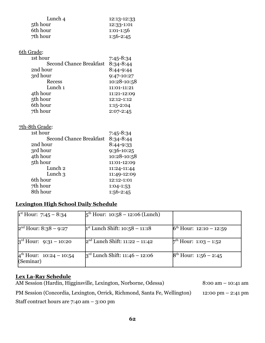| Lunch 4  | 12:13-12:33  |
|----------|--------------|
| 5th hour | $12:33-1:01$ |
| 6th hour | $1:01-1:56$  |
| 7th hour | $1:56-2:45$  |

| 6th Grade:                     |               |
|--------------------------------|---------------|
| 1st hour                       | $7:45 - 8:34$ |
| <b>Second Chance Breakfast</b> | $8:34 - 8:44$ |
| 2nd hour                       | 8:44-9:44     |
| 3rd hour                       | 9:47-10:27    |
| <b>Recess</b>                  | 10:28-10:58   |
| Lunch 1                        | 11:01-11:21   |
| 4th hour                       | 11:21-12:09   |
| 5th hour                       | 12:12-1:12    |
| 6th hour                       | $1:15-2:04$   |
| 7th hour                       | $2:07 - 2:45$ |
|                                |               |

## 7th-8th Grade:

| 1st hour                       | $7:45 - 8:34$ |
|--------------------------------|---------------|
| <b>Second Chance Breakfast</b> | $8:34 - 8:44$ |
| 2nd hour                       | 8:44-9:33     |
| 3rd hour                       | 9:36-10:25    |
| 4th hour                       | 10:28-10:58   |
| 5th hour                       | 11:01-12:09   |
| Lunch <sub>2</sub>             | 11:24-11:44   |
| Lunch $\beta$                  | 11:49-12:09   |
| 6th hour                       | 12:12-1:01    |
| 7th hour                       | $1:04-1:53$   |
| 8th hour                       | $1:56-2:45$   |

# **Lexington High School Daily Schedule**

| $1st$ Hour: 7:45 – 8:34                          | $5^{\text{th}}$ Hour: 10:58 – 12:06 (Lunch) |                                   |
|--------------------------------------------------|---------------------------------------------|-----------------------------------|
| $2nd$ Hour: 8:38 – 9:27                          | $1st$ Lunch Shift: 10:58 – 11:18            | $6th$ Hour: 12:10 – 12:59         |
| $3^{\text{rd}}$ Hour: 9:31 – 10:20               | $2nd$ Lunch Shift: 11:22 – 11:42            | $7^{\text{th}}$ Hour: 1:03 – 1:52 |
| $4^{\text{th}}$ Hour: 10:24 – 10:54<br>(Seminar) | $3^{\rm rd}$ Lunch Shift: 11:46 – 12:06     | $8th$ Hour: 1:56 – 2:45           |

# **Lex La-Ray Schedule**

AM Session (Hardin, Higginsville, Lexington, Norborne, Odessa) 8:00 am – 10:41 am PM Session (Concordia, Lexington, Orrick, Richmond, Santa Fe, Wellington) 12:00 pm – 2:41 pm

Staff contract hours are 7:40 am – 3:00 pm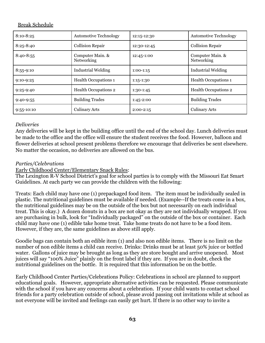## Break Schedule

| $8:10 - 8:25$  | <b>Automotive Technology</b>          | 12:15-12:30   | <b>Automotive Technology</b>   |
|----------------|---------------------------------------|---------------|--------------------------------|
| $8:25 - 8:40$  | <b>Collision Repair</b>               | 12:30-12:45   | <b>Collision Repair</b>        |
| $8:40 - 8:55$  | Computer Main. &<br><b>Networking</b> | 12:45-1:00    | Computer Main. &<br>Networking |
| $8:55-9:10$    | <b>Industrial Welding</b>             | $1:00-1:15$   | <b>Industrial Welding</b>      |
| $9:10-9:25$    | <b>Health Occupations 1</b>           | $1:15-1:30$   | <b>Health Occupations 1</b>    |
| $9:25-9:40$    | <b>Health Occupations 2</b>           | $1:30-1:45$   | <b>Health Occupations 2</b>    |
| $9:40-9:55$    | <b>Building Trades</b>                | $1:45 - 2:00$ | <b>Building Trades</b>         |
| $9:55 - 10:10$ | <b>Culinary Arts</b>                  | $2:00-2:15$   | <b>Culinary Arts</b>           |

### *Deliveries*

Any deliveries will be kept in the building office until the end of the school day. Lunch deliveries must be made to the office and the office will ensure the student receives the food. However, balloon and flower deliveries at school present problems therefore we encourage that deliveries be sent elsewhere. No matter the occasion, no deliveries are allowed on the bus.

## *Parties/Celebrations*

Early Childhood Center/Elementary Snack Rules:

The Lexington R-V School District's goal for school parties is to comply with the Missouri Eat Smart Guidelines. At each party we can provide the children with the following:

Treats: Each child may have one (1) prepackaged food item. The item must be individually sealed in plastic. The nutritional guidelines must be available if needed. (Example--If the treats come in a box, the nutritional guidelines may be on the outside of the box but not necessarily on each individual treat. This is okay.) A dozen donuts in a box are not okay as they are not individually wrapped. If you are purchasing in bulk, look for "Individually packaged" on the outside of the box or container. Each child may have one (1) edible take home treat. Take home treats do not have to be a food item. However, if they are, the same guidelines as above still apply.

Goodie bags can contain both an edible item (1) and also non edible items. There is no limit on the number of non edible items a child can receive. Drinks: Drinks must be at least 50% juice or bottled water. Gallons of juice may be brought as long as they are store bought and arrive unopened. Most juices will say "100% Juice" plainly on the front label if they are. If you are in doubt, check the nutritional guidelines on the bottle. It is required that this information be on the bottle.

Early Childhood Center Parties/Celebrations Policy: Celebrations in school are planned to support educational goals. However, appropriate alternative activities can be requested. Please communicate with the school if you have any concerns about a celebration. If your child wants to contact school friends for a party celebration outside of school, please avoid passing out invitations while at school as not everyone will be invited and feelings can easily get hurt. If there is no other way to invite a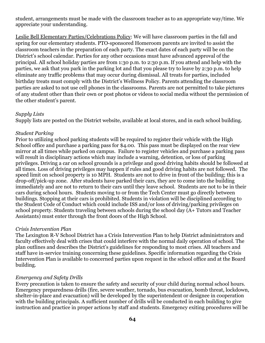student, arrangements must be made with the classroom teacher as to an appropriate way/time. We appreciate your understanding.

Leslie Bell Elementary Parties/Celebrations Policy: We will have classroom parties in the fall and spring for our elementary students. PTO-sponsored Homeroom parents are invited to assist the classroom teachers in the preparation of each party. The exact dates of each party will be on the District's school calendar. Parties for any other occasions must have advanced approval of the principal. All school holiday parties are from 1:30 p.m. to 2:30 p.m. If you attend and help with the parties, we ask that you park in the parking lot and that you please try to leave by 2:30 p.m. to help eliminate any traffic problems that may occur during dismissal. All treats for parties, included birthday treats must comply with the District's Wellness Policy. Parents attending the classroom parties are asked to not use cell phones in the classrooms. Parents are not permitted to take pictures of any student other than their own or post photos or videos to social media without the permission of the other student's parent.

## *Supply Lists*

Supply lists are posted on the District website, available at local stores, and in each school building.

### *Student Parking*

Prior to utilizing school parking students will be required to register their vehicle with the High School office and purchase a parking pass for \$4.00. This pass must be displayed on the rear view mirror at all times while parked on campus. Failure to register vehicles and purchase a parking pass will result in disciplinary actions which may include a warning, detention, or loss of parking privileges. Driving a car on school grounds is a privilege and good driving habits should be followed at all times. Loss of driving privileges may happen if rules and good driving habits are not followed. The speed limit on school property is 10 MPH. Students are not to drive in front of the building; this is a drop-off/pick-up zone. After students have parked their cars, they are to come into the building immediately and are not to return to their cars until they leave school. Students are not to be in their cars during school hours. Students moving to or from the Tech Center must go directly between buildings. Stopping at their cars is prohibited. Students in violation will be disciplined according to the Student Code of Conduct which could include ISS and/or loss of driving/parking privileges on school property. Students traveling between schools during the school day (A+ Tutors and Teacher Assistants) must enter through the front doors of the High School.

### *Crisis Intervention Plan*

The Lexington R-V School District has a Crisis Intervention Plan to help District administrators and faculty effectively deal with crises that could interfere with the normal daily operation of school. The plan outlines and describes the District's guidelines for responding to most crises. All teachers and staff have in-service training concerning these guidelines. Specific information regarding the Crisis Intervention Plan is available to concerned parties upon request in the school office and at the Board building.

## *Emergency and Safety Drills*

Every precaution is taken to ensure the safety and security of your child during normal school hours. Emergency preparedness drills (fire, severe weather, tornado, bus evacuation, bomb threat, lockdown, shelter-in-place and evacuation) will be developed by the superintendent or designee in cooperation with the building principals. A sufficient number of drills will be conducted in each building to give instruction and practice in proper actions by staff and students. Emergency exiting procedures will be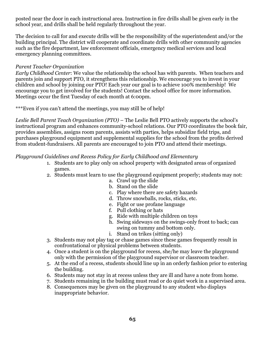posted near the door in each instructional area. Instruction in fire drills shall be given early in the school year, and drills shall be held regularly throughout the year.

The decision to call for and execute drills will be the responsibility of the superintendent and/or the building principal. The district will cooperate and coordinate drills with other community agencies such as the fire department, law enforcement officials, emergency medical services and local emergency planning committees.

### *Parent Teacher Organization*

*Early Childhood Center*: We value the relationship the school has with parents. When teachers and parents join and support PTO, it strengthens this relationship. We encourage you to invest in your children and school by joining our PTO! Each year our goal is to achieve 100% membership! We encourage you to get involved for the students! Contact the school office for more information. Meetings occur the first Tuesday of each month at 6:00pm.

\*\*\*Even if you can't attend the meetings, you may still be of help!

*Leslie Bell Parent Teach Organization (PTO)* – The Leslie Bell PTO actively supports the school's instructional program and enhances community-school relations. Our PTO coordinates the book fair, provides assemblies, assigns room parents, assists with parties, helps subsidize field trips, and purchases playground equipment and supplemental supplies for the school from the profits derived from student-fundraisers. All parents are encouraged to join PTO and attend their meetings.

### *Playground Guidelines and Recess Policy for Early Childhood and Elementary*

- 1. Students are to play only on school property with designated areas of organized games.
- 2. Students must learn to use the playground equipment properly; students may not:
	- a. Crawl up the slide
	- b. Stand on the slide
	- c. Play where there are safety hazards
	- d. Throw snowballs, rocks, sticks, etc.
	- e. Fight or use profane language
	- f. Pull clothing or hats
	- g. Ride with multiple children on toys
	- h. Swing sideways on the swings-only front to back; can swing on tummy and bottom only.
	- i. Stand on trikes (sitting only)
- 3. Students may not play tag or chase games since these games frequently result in confrontational or physical problems between students.
- 4. Once a student is on the playground for recess, she/he may leave the playground only with the permission of the playground supervisor or classroom teacher.
- 5. At the end of a recess, students should line up in an orderly fashion prior to entering the building.
- 6. Students may not stay in at recess unless they are ill and have a note from home.
- 7. Students remaining in the building must read or do quiet work in a supervised area.
- 8. Consequences may be given on the playground to any student who displays inappropriate behavior.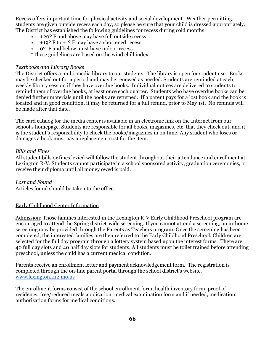Recess offers important time for physical activity and social development. Weather permitting, students are given outside recess each day, so please be sure that your child is dressed appropriately. The District has established the following guidelines for recess during cold months:

- ∗ +20º F and above may have full outside recess
- ∗ +19º F to +1º F may have a shortened recess
- ∗ 0º F and below must have indoor recess

\*These guidelines are based on the wind chill index.

### *Textbooks and Library Books*

The District offers a multi-media library to our students. The library is open for student use. Books may be checked out for a period and may be renewed as needed. Students are reminded at each weekly library session if they have overdue books. Individual notices are delivered to students to remind them of overdue books, at least once each quarter. Students who have overdue books can be denied further materials until the books are returned. If a parent pays for a lost book and the book is located and in good condition, it may be returned for a full refund, prior to May 1st. No refunds will be made after that date.

The card catalog for the media center is available in an electronic link on the Internet from our school's homepage. Students are responsible for all books, magazines, etc. that they check out, and it is the student's responsibility to check the books/magazines in on time. Any student who loses or damages a book must pay a replacement cost for the item.

### *Bills and Fines*

All student bills or fines levied will follow the student throughout their attendance and enrollment at Lexington R-V. Students cannot participate in a school sponsored activity, graduation ceremonies, or receive their diploma until all money owed is paid.

## *Lost and Found*

Articles found should be taken to the office.

## Early Childhood Center Information

Admission: Those families interested in the Lexington R-V Early Childhood Preschool program are encouraged to attend the Spring district-wide screening. If you cannot attend a screening, an in-home screening may be provided through the Parents as Teachers program. Once the screening has been completed, the interested families are then referred to the Early Childhood Preschool. Children are selected for the full day program through a lottery system based upon the interest forms. There are 40 full day slots and 40 half day slots for students. All students must be toilet trained before attending preschool, unless the child has a current medical condition.

Parents receive an enrollment letter and payment acknowledgement form. The registration is completed through the on-line parent portal through the school district's website. [www.lexington.k12.mo.us](http://www.lexington.k12.mo.us/)

The enrollment forms consist of the school enrollment form, health inventory form, proof of residency, free/reduced meals application, medical examination form and if needed, medication authorization forms for medical conditions.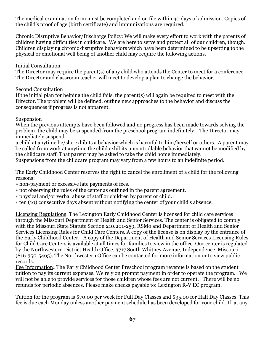The medical examination form must be completed and on file within 30 days of admission. Copies of the child's proof of age (birth certificate) and immunizations are required.

Chronic Disruptive Behavior/Discharge Policy: We will make every effort to work with the parents of children having difficulties in childcare. We are here to serve and protect all of our children, though. Children displaying chronic disruptive behaviors which have been determined to be upsetting to the physical or emotional well being of another child may require the following actions.

## Initial Consultation

The Director may require the parent(s) of any child who attends the Center to meet for a conference. The Director and classroom teacher will meet to develop a plan to change the behavior.

## Second Consultation

If the initial plan for helping the child fails, the parent(s) will again be required to meet with the Director. The problem will be defined, outline new approaches to the behavior and discuss the consequences if progress is not apparent.

## Suspension

When the previous attempts have been followed and no progress has been made towards solving the problem, the child may be suspended from the preschool program indefinitely. The Director may immediately suspend

a child at anytime he/she exhibits a behavior which is harmful to him/herself or others. A parent may be called from work at anytime the child exhibits uncontrollable behavior that cannot be modified by the childcare staff. That parent may be asked to take the child home immediately.

Suspensions from the childcare program may vary from a few hours to an indefinite period.

The Early Childhood Center reserves the right to cancel the enrollment of a child for the following reasons:

- ∗ non-payment or excessive late payments of fees.
- ∗ not observing the rules of the center as outlined in the parent agreement.
- ∗ physical and/or verbal abuse of staff or children by parent or child.
- ∗ ten (10) consecutive days absent without notifying the center of your child's absence.

Licensing Regulations: The Lexington Early Childhood Center is licensed for child care services through the Missouri Department of Health and Senior Services. The center is obligated to comply with the Missouri State Statute Section 210.201-259, RSMo and Department of Health and Senior Services Licensing Rules for Child Care Centers. A copy of the license is on display by the entrance of the Early Childhood Center. A copy of the Department of Health and Senior Services Licensing Rules for Child Care Centers is available at all times for families to view in the office. Our center is regulated by the Northwestern District Health Office, 3717 South Whitney Avenue, Independence, Missouri (816-350-5465). The Northwestern Office can be contacted for more information or to view public records.

Fee Information**:** The Early Childhood Center Preschool program revenue is based on the student tuition to pay its current expenses. We rely on prompt payment in order to operate the program. We will not be able to provide services for those children whose fees are not current. There will be no refunds for periodic absences. Please make checks payable to: Lexington R-V EC program.

Tuition for the program is \$70.00 per week for Full Day Classes and \$35.00 for Half Day Classes. This fee is due each Monday unless another payment schedule has been developed for your child. If, at any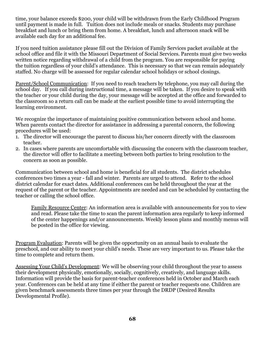time, your balance exceeds \$200, your child will be withdrawn from the Early Childhood Program until payment is made in full. Tuition does not include meals or snacks. Students may purchase breakfast and lunch or bring them from home. A breakfast, lunch and afternoon snack will be available each day for an additional fee.

If you need tuition assistance please fill out the Division of Family Services packet available at the school office and file it with the Missouri Department of Social Services. Parents must give two weeks written notice regarding withdrawal of a child from the program. You are responsible for paying the tuition regardless of your child's attendance. This is necessary so that we can remain adequately staffed. No charge will be assessed for regular calendar school holidays or school closings.

Parent/School Communication: If you need to reach teachers by telephone, you may call during the school day. If you call during instructional time, a message will be taken. If you desire to speak with the teacher or your child during the day, your message will be accepted at the office and forwarded to the classroom so a return call can be made at the earliest possible time to avoid interrupting the learning environment.

We recognize the importance of maintaining positive communication between school and home. When parents contact the director for assistance in addressing a parental concern, the following procedures will be used:

- 1. The director will encourage the parent to discuss his/her concern directly with the classroom teacher.
- 2. In cases where parents are uncomfortable with discussing the concern with the classroom teacher, the director will offer to facilitate a meeting between both parties to bring resolution to the concern as soon as possible.

Communication between school and home is beneficial for all students. The district schedules conferences two times a year - fall and winter. Parents are urged to attend. Refer to the school district calendar for exact dates. Additional conferences can be held throughout the year at the request of the parent or the teacher. Appointments are needed and can be scheduled by contacting the teacher or calling the school office.

Family Resource Center: An information area is available with announcements for you to view and read. Please take the time to scan the parent information area regularly to keep informed of the center happenings and/or announcements. Weekly lesson plans and monthly menus will be posted in the office for viewing.

Program Evaluation: Parents will be given the opportunity on an annual basis to evaluate the preschool, and our ability to meet your child's needs. These are very important to us. Please take the time to complete and return them.

Assessing Your Child's Development: We will be observing your child throughout the year to assess their development physically, emotionally, socially, cognitively, creatively, and language skills. Information will provide the basis for parent-teacher conferences held in October and March each year. Conferences can be held at any time if either the parent or teacher requests one. Children are given benchmark assessments three times per year through the DRDP (Desired Results Developmental Profile).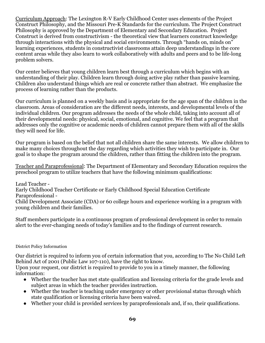Curriculum Approach: The Lexington R-V Early Childhood Center uses elements of the Project Construct Philosophy, and the Missouri Pre-K Standards for the curriculum. The Project Construct Philosophy is approved by the Department of Elementary and Secondary Education. Project Construct is derived from constructivism - the theoretical view that learners construct knowledge through interactions with the physical and social environments. Through "hands on, minds on" learning experiences, students in constructivist classrooms attain deep understandings in the core content areas while they also learn to work collaboratively with adults and peers and to be life-long problem solvers.

Our center believes that young children learn best through a curriculum which begins with an understanding of their play. Children learn through doing active play rather than passive learning. Children also understand things which are real or concrete rather than abstract. We emphasize the process of learning rather than the products.

Our curriculum is planned on a weekly basis and is appropriate for the age span of the children in the classroom. Areas of consideration are the different needs, interests, and developmental levels of the individual children. Our program addresses the needs of the whole child, taking into account all of their developmental needs: physical, social, emotional, and cognitive. We feel that a program that addresses only the cognitive or academic needs of children cannot prepare them with all of the skills they will need for life.

Our program is based on the belief that not all children share the same interests. We allow children to make many choices throughout the day regarding which activities they wish to participate in. Our goal is to shape the program around the children, rather than fitting the children into the program.

Teacher and Paraprofessional: The Department of Elementary and Secondary Education requires the preschool program to utilize teachers that have the following minimum qualifications:

Lead Teacher - Early Childhood Teacher Certificate or Early Childhood Special Education Certificate Paraprofessional - Child Development Associate (CDA) or 60 college hours and experience working in a program with young children and their families.

Staff members participate in a continuous program of professional development in order to remain alert to the ever-changing needs of today's families and to the findings of current research.

## District Policy Information

Our district is required to inform you of certain information that you, according to The No Child Left Behind Act of 2001 (Public Law 107-110), have the right to know.

Upon your request, our district is required to provide to you in a timely manner, the following information:

- Whether the teacher has met state qualification and licensing criteria for the grade levels and subject areas in which the teacher provides instruction.
- Whether the teacher is teaching under emergency or other provisional status through which state qualification or licensing criteria have been waived.
- Whether your child is provided services by paraprofessionals and, if so, their qualifications.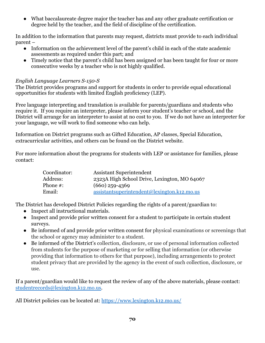● What baccalaureate degree major the teacher has and any other graduate certification or degree held by the teacher, and the field of discipline of the certification.

In addition to the information that parents may request, districts must provide to each individual parent –

- Information on the achievement level of the parent's child in each of the state academic assessments as required under this part; and
- Timely notice that the parent's child has been assigned or has been taught for four or more consecutive weeks by a teacher who is not highly qualified.

# *English Language Learners S-150-S*

The District provides programs and support for students in order to provide equal educational opportunities for students with limited English proficiency (LEP).

Free language interpreting and translation is available for parents/guardians and students who require it. If you require an interpreter, please inform your student's teacher or school, and the District will arrange for an interpreter to assist at no cost to you. If we do not have an interpreter for your language, we will work to find someone who can help.

Information on District programs such as Gifted Education, AP classes, Special Education, extracurricular activities, and others can be found on the District website.

For more information about the programs for students with LEP or assistance for families, please contact:

| Coordinator: | <b>Assistant Superintendent</b>               |
|--------------|-----------------------------------------------|
| Address:     | 2323A High School Drive, Lexington, MO 64067  |
| Phone $#$ :  | $(660)$ 259-4369                              |
| Email:       | $assistantsuperintendent@lexington.k12.mo.us$ |

The District has developed District Policies regarding the rights of a parent/guardian to:

- Inspect all instructional materials.
- Inspect and provide prior written consent for a student to participate in certain student surveys.
- Be informed of and provide prior written consent for physical examinations or screenings that the school or agency may administer to a student.
- Be informed of the District's collection, disclosure, or use of personal information collected from students for the purpose of marketing or for selling that information (or otherwise providing that information to others for that purpose), including arrangements to protect student privacy that are provided by the agency in the event of such collection, disclosure, or use.

If a parent/guardian would like to request the review of any of the above materials, please contact: [studentrecords@lexington.k12.mo.us.](mailto:studentrecords@lexington.k12.mo.us)

All District policies can be located at: <https://www.lexington.k12.mo.us/>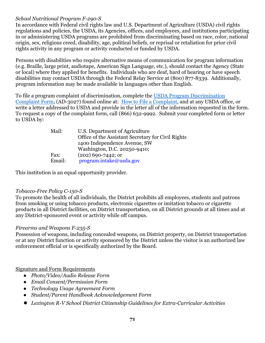# *School Nutritional Program F-290-S*

In accordance with Federal civil rights law and U.S. Department of Agriculture (USDA) civil rights regulations and policies, the USDA, its Agencies, offices, and employees, and institutions participating in or administering USDA programs are prohibited from discriminating based on race, color, national origin, sex, religious creed, disability, age, political beliefs, or reprisal or retaliation for prior civil rights activity in any program or activity conducted or funded by USDA.

Persons with disabilities who require alternative means of communication for program information (e.g. Braille, large print, audiotape, American Sign Language, etc.), should contact the Agency (State or local) where they applied for benefits. Individuals who are deaf, hard of hearing or have speech disabilities may contact USDA through the Federal Relay Service at (800) 877-8339. Additionally, program information may be made available in languages other than English.

To file a program complaint of discrimination, complete the [USDA Program Discrimination](http://www.ocio.usda.gov/sites/default/files/docs/2012/Complain_combined_6_8_12.pdf) [Complaint Form,](http://www.ocio.usda.gov/sites/default/files/docs/2012/Complain_combined_6_8_12.pdf) (AD-3027) found online at: How to [File a Complaint](http://www.ascr.usda.gov/complaint_filing_cust.html), and at any USDA office, or write a letter addressed to USDA and provide in the letter all of the information requested in the form. To request a copy of the complaint form, call (866) 632-9992. Submit your completed form or letter to USDA by:

| Mail:  | U.S. Department of Agriculture                     |
|--------|----------------------------------------------------|
|        | Office of the Assistant Secretary for Civil Rights |
|        | 1400 Independence Avenue, SW                       |
|        | Washington, D.C. 20250-9410;                       |
| Fax:   | $(202)$ 690-7442; or                               |
| Email: | program.intake@usda.gov                            |

This institution is an equal opportunity provider.

## *Tobacco-Free Policy C-150-S*

To promote the health of all individuals, the District prohibits all employees, students and patrons from smoking or using tobacco products, electronic cigarettes or imitation tobacco or cigarette products in all District facilities, on District transportation, on all District grounds at all times and at any District-sponsored event or activity while off campus.

## *Firearms and Weapons F-235-S*

Possession of weapons, including concealed weapons, on District property, on District transportation or at any District function or activity sponsored by the District unless the visitor is an authorized law enforcement official or is specifically authorized by the Board.

## Signature and Form Requirements

- *● Photo/Video/Audio Release Form*
- *● Email Consent/Permission Form*
- *● Technology Usage Agreement Form*
- *● Student/Parent Handbook Acknowledgement Form*
- *● Lexington R-V School District Citizenship Guidelines for Extra-Curricular Activities*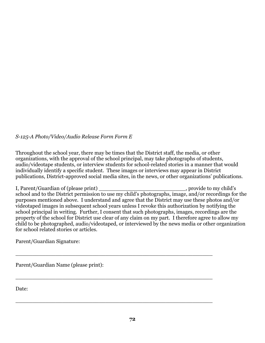### *S-125-A Photo/Video/Audio Release Form Form E*

Throughout the school year, there may be times that the District staff, the media, or other organizations, with the approval of the school principal, may take photographs of students, audio/videotape students, or interview students for school-related stories in a manner that would individually identify a specific student. These images or interviews may appear in District publications, District-approved social media sites, in the news, or other organizations' publications.

I, Parent/Guardian of (please print) provide to my child's school and to the District permission to use my child's photographs, image, and/or recordings for the purposes mentioned above. I understand and agree that the District may use these photos and/or videotaped images in subsequent school years unless I revoke this authorization by notifying the school principal in writing. Further, I consent that such photographs, images, recordings are the property of the school for District use clear of any claim on my part. I therefore agree to allow my child to be photographed, audio/videotaped, or interviewed by the news media or other organization for school related stories or articles.

\_\_\_\_\_\_\_\_\_\_\_\_\_\_\_\_\_\_\_\_\_\_\_\_\_\_\_\_\_\_\_\_\_\_\_\_\_\_\_\_\_\_\_\_\_\_\_\_\_\_\_\_\_\_\_\_\_\_\_

\_\_\_\_\_\_\_\_\_\_\_\_\_\_\_\_\_\_\_\_\_\_\_\_\_\_\_\_\_\_\_\_\_\_\_\_\_\_\_\_\_\_\_\_\_\_\_\_\_\_\_\_\_\_\_\_\_\_\_

\_\_\_\_\_\_\_\_\_\_\_\_\_\_\_\_\_\_\_\_\_\_\_\_\_\_\_\_\_\_\_\_\_\_\_\_\_\_\_\_\_\_\_\_\_\_\_\_\_\_\_\_\_\_\_\_\_\_\_

Parent/Guardian Signature:

Parent/Guardian Name (please print):

Date: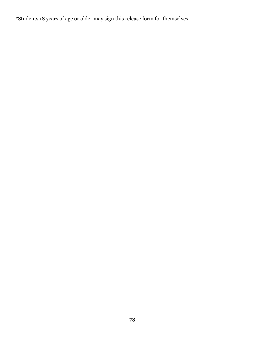\*Students 18 years of age or older may sign this release form for themselves.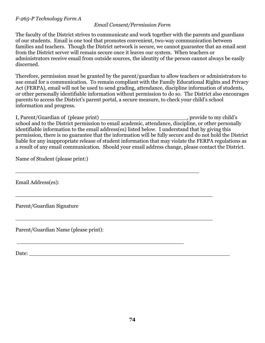### *Email Consent/Permission Form*

The faculty of the District strives to communicate and work together with the parents and guardians of our students. Email is one tool that promotes convenient, two-way communication between families and teachers. Though the District network is secure, we cannot guarantee that an email sent from the District server will remain secure once it leaves our system. When teachers or administrators receive email from outside sources, the identity of the person cannot always be easily discerned.

Therefore, permission must be granted by the parent/guardian to allow teachers or administrators to use email for a communication. To remain compliant with the Family Educational Rights and Privacy Act (FERPA), email will not be used to send grading, attendance, discipline information of students, or other personally identifiable information without permission to do so. The District also encourages parents to access the District's parent portal, a secure measure, to check your child's school information and progress.

I, Parent/Guardian of (please print) \_\_\_\_\_\_\_\_\_\_\_\_\_\_\_\_\_\_\_\_\_\_\_\_\_\_, provide to my child's school and to the District permission to email academic, attendance, discipline, or other personally identifiable information to the email address(es) listed below. I understand that by giving this permission, there is no guarantee that the information will be fully secure and do not hold the District liable for any inappropriate release of student information that may violate the FERPA regulations as a result of any email communication. Should your email address change, please contact the District.

\_\_\_\_\_\_\_\_\_\_\_\_\_\_\_\_\_\_\_\_\_\_\_\_\_\_\_\_\_\_\_\_\_\_\_\_\_\_\_\_\_\_\_\_\_\_\_\_\_\_\_\_\_\_\_

\_\_\_\_\_\_\_\_\_\_\_\_\_\_\_\_\_\_\_\_\_\_\_\_\_\_\_\_\_\_\_\_\_\_\_\_\_\_\_\_\_\_\_\_\_\_\_\_\_\_\_\_\_\_\_\_\_\_\_

\_\_\_\_\_\_\_\_\_\_\_\_\_\_\_\_\_\_\_\_\_\_\_\_\_\_\_\_\_\_\_\_\_\_\_\_\_\_\_\_\_\_\_\_\_\_\_\_\_\_\_\_\_\_\_\_\_\_\_

\_\_\_\_\_\_\_\_\_\_\_\_\_\_\_\_\_\_\_\_\_\_\_\_\_\_\_\_\_\_\_\_\_\_\_\_\_\_\_\_\_\_\_\_\_\_\_\_\_\_

Name of Student (please print:)

Email Address(es):

Parent/Guardian Signature

Parent/Guardian Name (please print):

Date: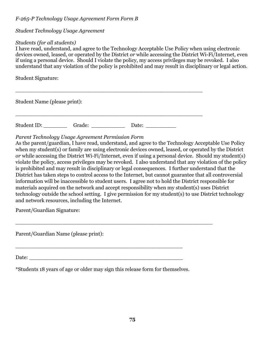# *F-265-P Technology Usage Agreement Form Form B*

# *Student Technology Usage Agreement*

## *Students (for all students)*

I have read, understand, and agree to the Technology Acceptable Use Policy when using electronic devices owned, leased, or operated by the District *or* while accessing the District Wi-Fi/Internet, even if using a personal device. Should I violate the policy, my access privileges may be revoked. I also understand that any violation of the policy is prohibited and may result in disciplinary or legal action.

Student Signature:

Student Name (please print):

Student ID: Grade: \_\_\_\_\_\_\_\_\_ Date: Date:

\_\_\_\_\_\_\_\_\_\_\_\_\_\_\_\_\_\_\_\_\_\_\_\_\_\_\_\_\_\_\_\_\_\_\_\_\_\_\_\_\_\_\_\_\_\_\_\_\_\_\_\_\_\_\_\_

\_\_\_\_\_\_\_\_\_\_\_\_\_\_\_\_\_\_\_\_\_\_\_\_\_\_\_\_\_\_\_\_\_\_\_\_\_\_\_\_\_\_\_\_\_\_\_\_\_\_\_\_\_\_\_\_

# *Parent Technology Usage Agreement Permission Form*

As the parent/guardian, I have read, understand, and agree to the Technology Acceptable Use Policy when my student(s) or family are using electronic devices owned, leased, or operated by the District *or* while accessing the District Wi-Fi/Internet, even if using a personal device. Should my student(s) violate the policy, access privileges may be revoked. I also understand that any violation of the policy is prohibited and may result in disciplinary or legal consequences. I further understand that the District has taken steps to control access to the Internet, but cannot guarantee that all controversial information will be inaccessible to student users. I agree not to hold the District responsible for materials acquired on the network and accept responsibility when my student(s) uses District technology outside the school setting. I give permission for my student(s) to use District technology and network resources, including the Internet.

Parent/Guardian Signature:

Parent/Guardian Name (please print):

Date:

\*Students 18 years of age or older may sign this release form for themselves.

\_\_\_\_\_\_\_\_\_\_\_\_\_\_\_\_\_\_\_\_\_\_\_\_\_\_\_\_\_\_\_\_\_\_\_\_\_\_\_\_\_\_\_\_\_\_\_\_\_\_

\_\_\_\_\_\_\_\_\_\_\_\_\_\_\_\_\_\_\_\_\_\_\_\_\_\_\_\_\_\_\_\_\_\_\_\_\_\_\_\_\_\_\_\_\_\_\_\_\_\_\_\_\_\_\_\_\_\_\_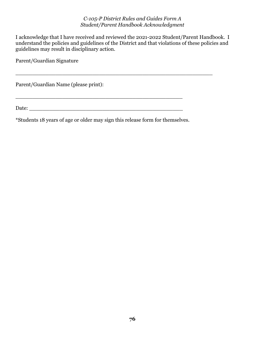#### *C-105-P District Rules and Guides Form A Student/Parent Handbook Acknowledgment*

I acknowledge that I have received and reviewed the 2021-2022 Student/Parent Handbook. I understand the policies and guidelines of the District and that violations of these policies and guidelines may result in disciplinary action.

\_\_\_\_\_\_\_\_\_\_\_\_\_\_\_\_\_\_\_\_\_\_\_\_\_\_\_\_\_\_\_\_\_\_\_\_\_\_\_\_\_\_\_\_\_\_\_\_\_\_\_\_\_\_\_\_\_\_\_

\_\_\_\_\_\_\_\_\_\_\_\_\_\_\_\_\_\_\_\_\_\_\_\_\_\_\_\_\_\_\_\_\_\_\_\_\_\_\_\_\_\_\_\_\_\_\_\_\_\_

Parent/Guardian Signature

Parent/Guardian Name (please print):

Date:

\*Students 18 years of age or older may sign this release form for themselves.